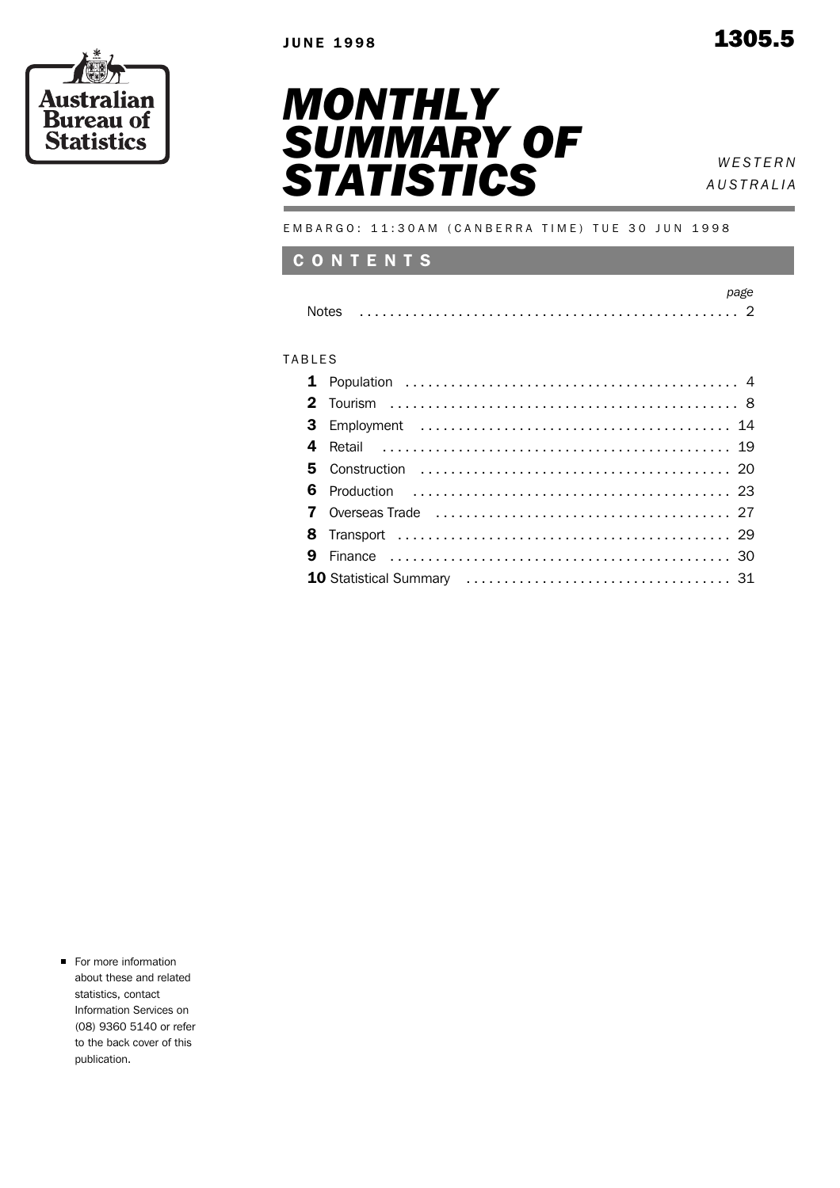





 *A U S T R A L I A*

EMBARGO: 11:30AM (CANBERRA TIME) TUE 30 JUN 1998

#### C O N T E N T S

| <b>Notes</b> |  |  |
|--------------|--|--|

#### **TABLES**

For more information about these and related statistics, contact Information Services on (08) 9360 5140 or refer to the back cover of this publication.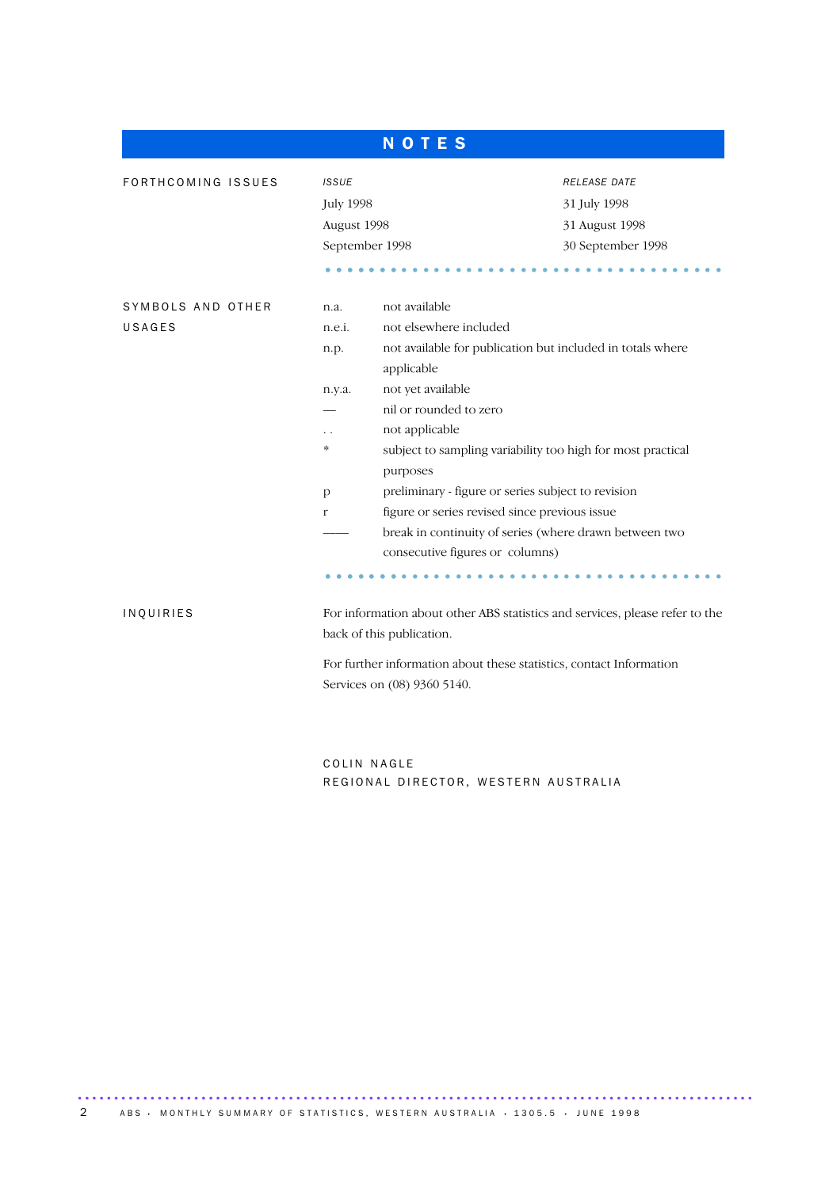| <b>NOTES</b>                |                                                                                                                                                                                                                 |                                                                                                                                                                                                                                                                                                                                                                                                                                                                     |                                                                     |  |  |  |  |  |  |
|-----------------------------|-----------------------------------------------------------------------------------------------------------------------------------------------------------------------------------------------------------------|---------------------------------------------------------------------------------------------------------------------------------------------------------------------------------------------------------------------------------------------------------------------------------------------------------------------------------------------------------------------------------------------------------------------------------------------------------------------|---------------------------------------------------------------------|--|--|--|--|--|--|
| FORTHCOMING ISSUES          | <b>ISSUE</b><br><b>July 1998</b><br>August 1998<br>September 1998                                                                                                                                               |                                                                                                                                                                                                                                                                                                                                                                                                                                                                     | RELEASE DATE<br>31 July 1998<br>31 August 1998<br>30 September 1998 |  |  |  |  |  |  |
| SYMBOLS AND OTHER<br>USAGES | n.a.<br>n.e.i.<br>n.p.<br>n.y.a.<br>$\ast$<br>p<br>$\mathbf{r}$                                                                                                                                                 | not available<br>not elsewhere included<br>not available for publication but included in totals where<br>applicable<br>not yet available<br>nil or rounded to zero<br>not applicable<br>subject to sampling variability too high for most practical<br>purposes<br>preliminary - figure or series subject to revision<br>figure or series revised since previous issue<br>break in continuity of series (where drawn between two<br>consecutive figures or columns) |                                                                     |  |  |  |  |  |  |
| INQUIRIES                   | For information about other ABS statistics and services, please refer to the<br>back of this publication.<br>For further information about these statistics, contact Information<br>Services on (08) 9360 5140. |                                                                                                                                                                                                                                                                                                                                                                                                                                                                     |                                                                     |  |  |  |  |  |  |

COLIN NAGLE REGIONAL DIRECTOR, WESTERN AUSTRALIA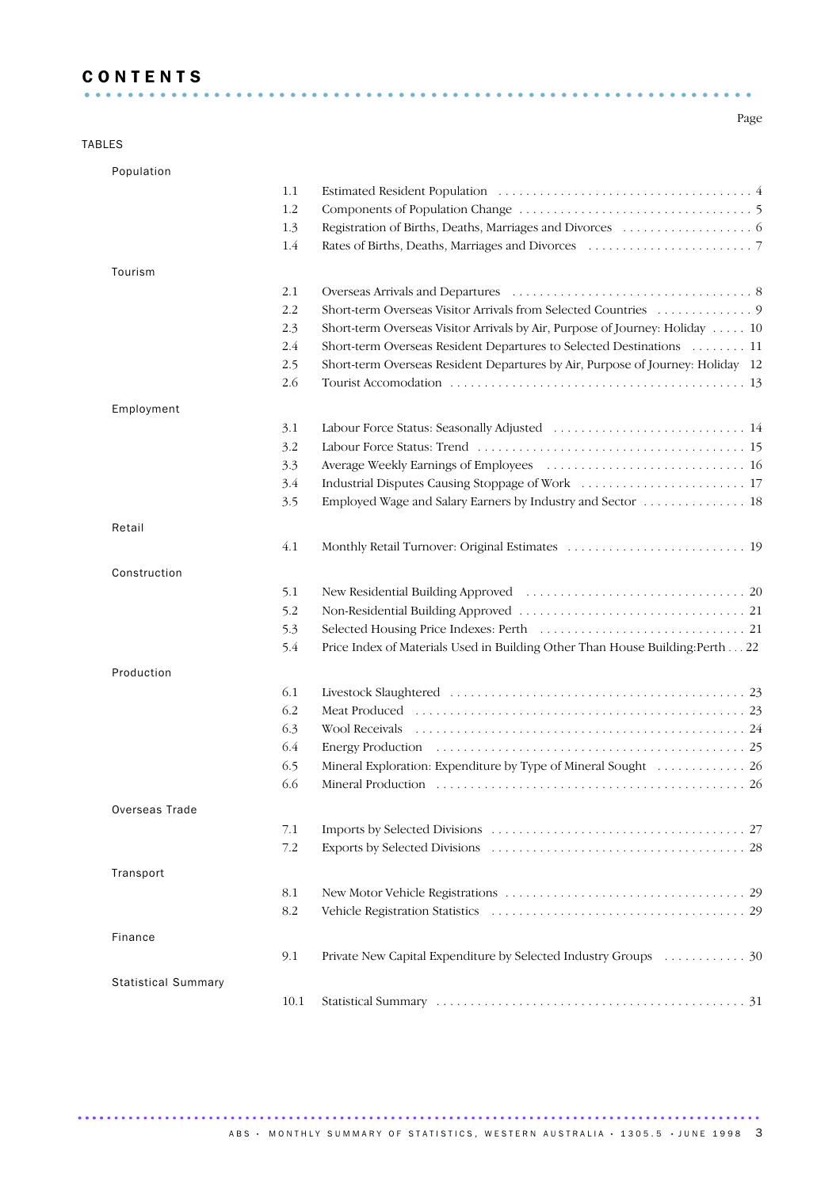#### C O N T E N T S .............................................................. .

#### TABLES

Population 1.1 Estimated Resident Population ..................................... 4 1.2 Components of Population Change ..................................5 1.3 Registration of Births, Deaths, Marriages and Divorces ...................6 1.4 Rates of Births, Deaths, Marriages and Divorces ........................ 7 Tourism 2.1 Overseas Arrivals and Departures ................................... 8 2.2 Short-term Overseas Visitor Arrivals from Selected Countries ..............9 2.3 Short-term Overseas Visitor Arrivals by Air, Purpose of Journey: Holiday . . . . . 10 2.4 Short-term Overseas Resident Departures to Selected Destinations . . . . . . . . 11 2.5 Short-term Overseas Resident Departures by Air, Purpose of Journey: Holiday 12 2.6 Tourist Accomodation . . . . . . . . . . . . . . . . . . . . . . . . . . . . . . . . . . . . . . . . . . . 13 Employment 3.1 Labour Force Status: Seasonally Adjusted . . . . . . . . . . . . . . . . . . . . . . . . . . . . 14 3.2 Labour Force Status: Trend . . . . . . . . . . . . . . . . . . . . . . . . . . . . . . . . . . . . . . . 15 3.3 Average Weekly Earnings of Employees . . . . . . . . . . . . . . . . . . . . . . . . . . . . . 16 3.4 Industrial Disputes Causing Stoppage of Work . . . . . . . . . . . . . . . . . . . . . . . . 17 3.5 Employed Wage and Salary Earners by Industry and Sector . . . . . . . . . . . . . . . 18 Retail 4.1 Monthly Retail Turnover: Original Estimates . . . . . . . . . . . . . . . . . . . . . . . . . . 19 Construction 5.1 New Residential Building Approved . . . . . . . . . . . . . . . . . . . . . . . . . . . . . . . . 20 5.2 Non-Residential Building Approved . . . . . . . . . . . . . . . . . . . . . . . . . . . . . . . . . 21 5.3 Selected Housing Price Indexes: Perth . . . . . . . . . . . . . . . . . . . . . . . . . . . . . . 21 5.4 Price Index of Materials Used in Building Other Than House Building:Perth . . . 22 Production 6.1 Livestock Slaughtered . . . . . . . . . . . . . . . . . . . . . . . . . . . . . . . . . . . . . . . . . . . 23 6.2 Meat Produced . . . . . . . . . . . . . . . . . . . . . . . . . . . . . . . . . . . . . . . . . . . . . . . . 23 6.3 Wool Receivals . . . . . . . . . . . . . . . . . . . . . . . . . . . . . . . . . . . . . . . . . . . . . . . . 24 6.4 Energy Production . . . . . . . . . . . . . . . . . . . . . . . . . . . . . . . . . . . . . . . . . . . . . 25 6.5 Mineral Exploration: Expenditure by Type of Mineral Sought . . . . . . . . . . . . . 26 6.6 Mineral Production . . . . . . . . . . . . . . . . . . . . . . . . . . . . . . . . . . . . . . . . . . . . . 26 Overseas Trade 7.1 Imports by Selected Divisions . . . . . . . . . . . . . . . . . . . . . . . . . . . . . . . . . . . . . 27 7.2 Exports by Selected Divisions . . . . . . . . . . . . . . . . . . . . . . . . . . . . . . . . . . . . . 28 Transport 8.1 New Motor Vehicle Registrations . . . . . . . . . . . . . . . . . . . . . . . . . . . . . . . . . . . 29 8.2 Vehicle Registration Statistics . . . . . . . . . . . . . . . . . . . . . . . . . . . . . . . . . . . . . 29 Finance 9.1 Private New Capital Expenditure by Selected Industry Groups . . . . . . . . . . . . . 30 Statistical Summary 10.1 Statistical Summary . . . . . . . . . . . . . . . . . . . . . . . . . . . . . . . . . . . . . . . . . . . . . 31

#### Page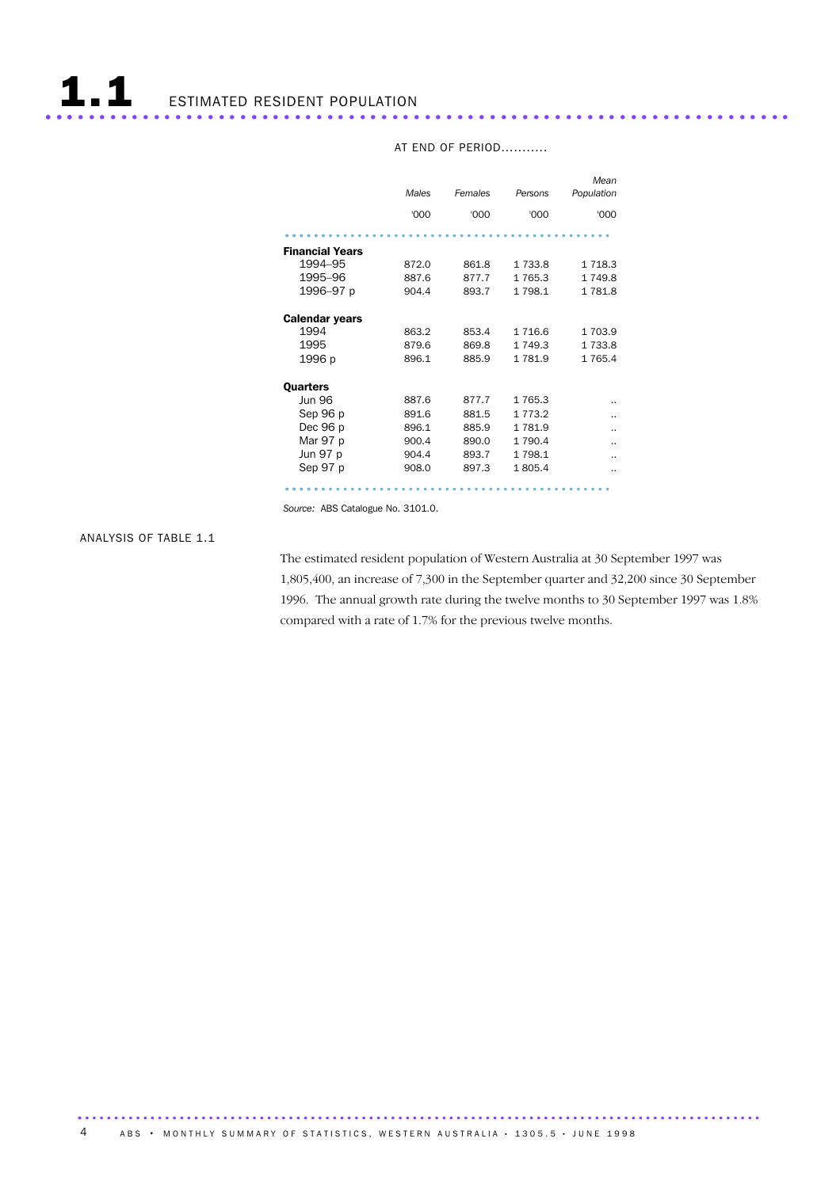#### AT END OF PERIOD...........

|                        | Males | Females | Persons     | Mean<br>Population |
|------------------------|-------|---------|-------------|--------------------|
|                        | '000  | '000    | '000        | '000               |
|                        |       |         |             |                    |
| <b>Financial Years</b> |       |         |             |                    |
| 1994–95                | 872.0 | 861.8   | 1 733.8     | 1 7 1 8 . 3        |
| 1995-96                | 887.6 | 877.7   | 1 7 6 5 . 3 | 1 749.8            |
| 1996–97 p              | 904.4 | 893.7   | 1798.1      | 1781.8             |
|                        |       |         |             |                    |
| <b>Calendar years</b>  |       |         |             |                    |
| 1994                   | 863.2 | 853.4   | 1 7 1 6.6   | 1 703.9            |
| 1995                   | 879.6 | 869.8   | 1 749.3     | 1 733.8            |
| 1996 p                 | 896.1 | 885.9   | 1 781.9     | 1 7 6 5 . 4        |
|                        |       |         |             |                    |
| <b>Quarters</b>        |       |         |             |                    |
| Jun 96                 | 887.6 | 877.7   | 1 7 6 5 .3  |                    |
| Sep 96 p               | 891.6 | 881.5   | 1 7 7 3 . 2 |                    |
| Dec 96 p               | 896.1 | 885.9   | 1 781.9     |                    |
| Mar 97 p               | 900.4 | 890.0   | 1 790.4     |                    |
| Jun 97 p               | 904.4 | 893.7   | 1 7 9 8 . 1 |                    |
| Sep 97 p               | 908.0 | 897.3   | 1805.4      |                    |
|                        |       |         |             |                    |

*Source:* ABS Catalogue No. 3101.0.

#### ANALYSIS OF TABLE 1.1

The estimated resident population of Western Australia at 30 September 1997 was 1,805,400, an increase of 7,300 in the September quarter and 32,200 since 30 September 1996. The annual growth rate during the twelve months to 30 September 1997 was 1.8% compared with a rate of 1.7% for the previous twelve months.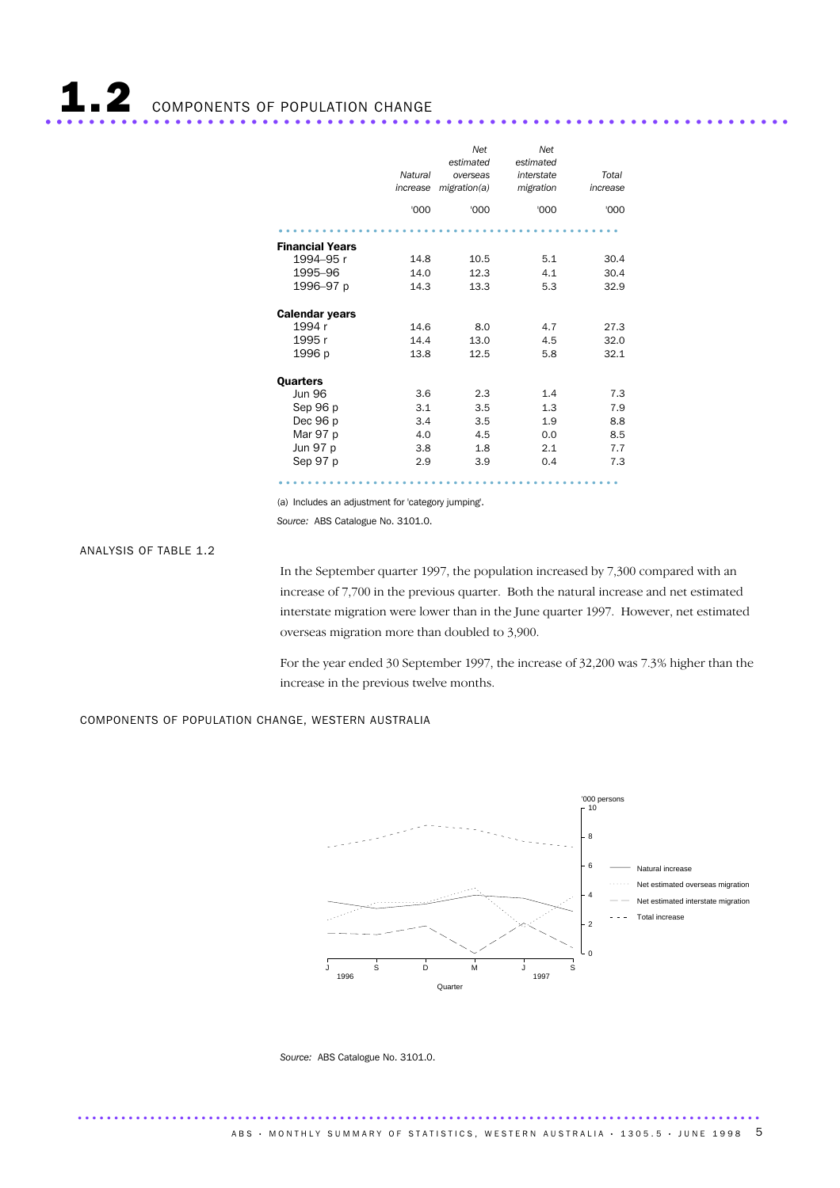|                        | Natural<br>increase | Net<br>estimated<br>overseas<br>migration(a) | Net<br>estimated<br>interstate<br>migration | Total<br>increase |
|------------------------|---------------------|----------------------------------------------|---------------------------------------------|-------------------|
|                        | '000                | '000                                         | '000                                        | '000              |
|                        |                     |                                              |                                             |                   |
| <b>Financial Years</b> |                     |                                              |                                             |                   |
| 1994–95 r              | 14.8                | 10.5                                         | 5.1                                         | 30.4              |
| 1995-96                | 14.0                | 12.3                                         | 4.1                                         | 30.4              |
| 1996-97 p              | 14.3                | 13.3                                         | 5.3                                         | 32.9              |
| <b>Calendar years</b>  |                     |                                              |                                             |                   |
| 1994 r                 | 14.6                | 8.0                                          | 4.7                                         | 27.3              |
| 1995 r                 | 14.4                | 13.0                                         | 4.5                                         | 32.0              |
| 1996 p                 | 13.8                | 12.5                                         | 5.8                                         | 32.1              |
|                        |                     |                                              |                                             |                   |
| Quarters               |                     |                                              |                                             |                   |
| <b>Jun 96</b>          | 3.6                 | 2.3                                          | 1.4                                         | 7.3               |
| Sep 96 p               | 3.1                 | 3.5                                          | 1.3                                         | 7.9               |
| Dec 96 p               | 3.4                 | 3.5                                          | 1.9                                         | 8.8               |
| Mar 97 p               | 4.0                 | 4.5                                          | 0.0                                         | 8.5               |
| Jun 97 p               | 3.8                 | 1.8                                          | 2.1                                         | 7.7               |
| Sep 97 p               | 2.9                 | 3.9                                          | 0.4                                         | 7.3               |
|                        |                     |                                              |                                             |                   |

(a) Includes an adjustment for 'category jumping'.

*Source:* ABS Catalogue No. 3101.0.

#### ANALYSIS OF TABLE 1.2

In the September quarter 1997, the population increased by 7,300 compared with an increase of 7,700 in the previous quarter. Both the natural increase and net estimated interstate migration were lower than in the June quarter 1997. However, net estimated overseas migration more than doubled to 3,900.

For the year ended 30 September 1997, the increase of 32,200 was 7.3% higher than the increase in the previous twelve months.

COMPONENTS OF POPULATION CHANGE, WESTERN AUSTRALIA



*Source:* ABS Catalogue No. 3101.0.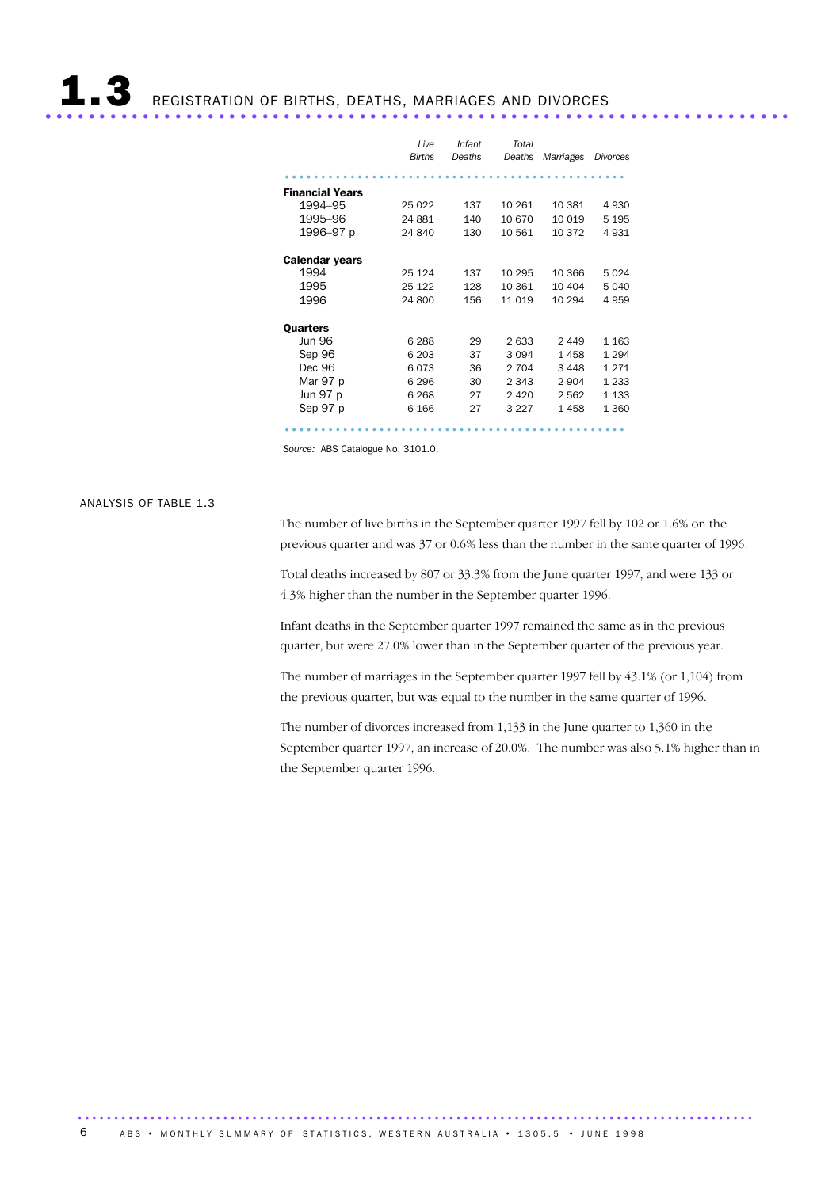|                        | Live<br><b>Births</b> | Infant<br>Deaths | Total<br>Deaths | Marriages | Divorces |
|------------------------|-----------------------|------------------|-----------------|-----------|----------|
|                        |                       |                  |                 |           |          |
| <b>Financial Years</b> |                       |                  |                 |           |          |
| 1994–95                | 25 0 22               | 137              | 10 261          | 10 381    | 4930     |
| 1995–96                | 24881                 | 140              | 10 670          | 10 0 19   | 5 1 9 5  |
| 1996–97 p              | 24 840                | 130              | 10 561          | 10 372    | 4931     |
|                        |                       |                  |                 |           |          |
| <b>Calendar years</b>  |                       |                  |                 |           |          |
| 1994                   | 25 1 24               | 137              | 10 295          | 10 366    | 5024     |
| 1995                   | 25 122                | 128              | 10 361          | 10 404    | 5040     |
| 1996                   | 24 800                | 156              | 11 019          | 10 294    | 4959     |
|                        |                       |                  |                 |           |          |
| <b>Quarters</b>        |                       |                  |                 |           |          |
| <b>Jun 96</b>          | 6 2 8 8               | 29               | 2633            | 2 4 4 9   | 1 1 6 3  |
| Sep 96                 | 6 2 0 3               | 37               | 3094            | 1458      | 1 2 9 4  |
| Dec 96                 | 6073                  | 36               | 2 704           | 3 4 4 8   | 1 2 7 1  |
| Mar 97 p               | 6 2 9 6               | 30               | 2 3 4 3         | 2 9 0 4   | 1 2 3 3  |
| Jun 97 p               | 6 2 6 8               | 27               | 2 4 2 0         | 2 5 6 2   | 1 1 3 3  |
| Sep 97 p               | 6 1 6 6               | 27               | 3 2 2 7         | 1458      | 1 360    |
|                        |                       |                  |                 |           |          |

............................................... ....

*Source:* ABS Catalogue No. 3101.0.

#### ANALYSIS OF TABLE 1.3

The number of live births in the September quarter 1997 fell by 102 or 1.6% on the previous quarter and was 37 or 0.6% less than the number in the same quarter of 1996.

Total deaths increased by 807 or 33.3% from the June quarter 1997, and were 133 or 4.3% higher than the number in the September quarter 1996.

Infant deaths in the September quarter 1997 remained the same as in the previous quarter, but were 27.0% lower than in the September quarter of the previous year.

The number of marriages in the September quarter 1997 fell by 43.1% (or 1,104) from the previous quarter, but was equal to the number in the same quarter of 1996.

The number of divorces increased from 1,133 in the June quarter to 1,360 in the September quarter 1997, an increase of 20.0%. The number was also 5.1% higher than in the September quarter 1996.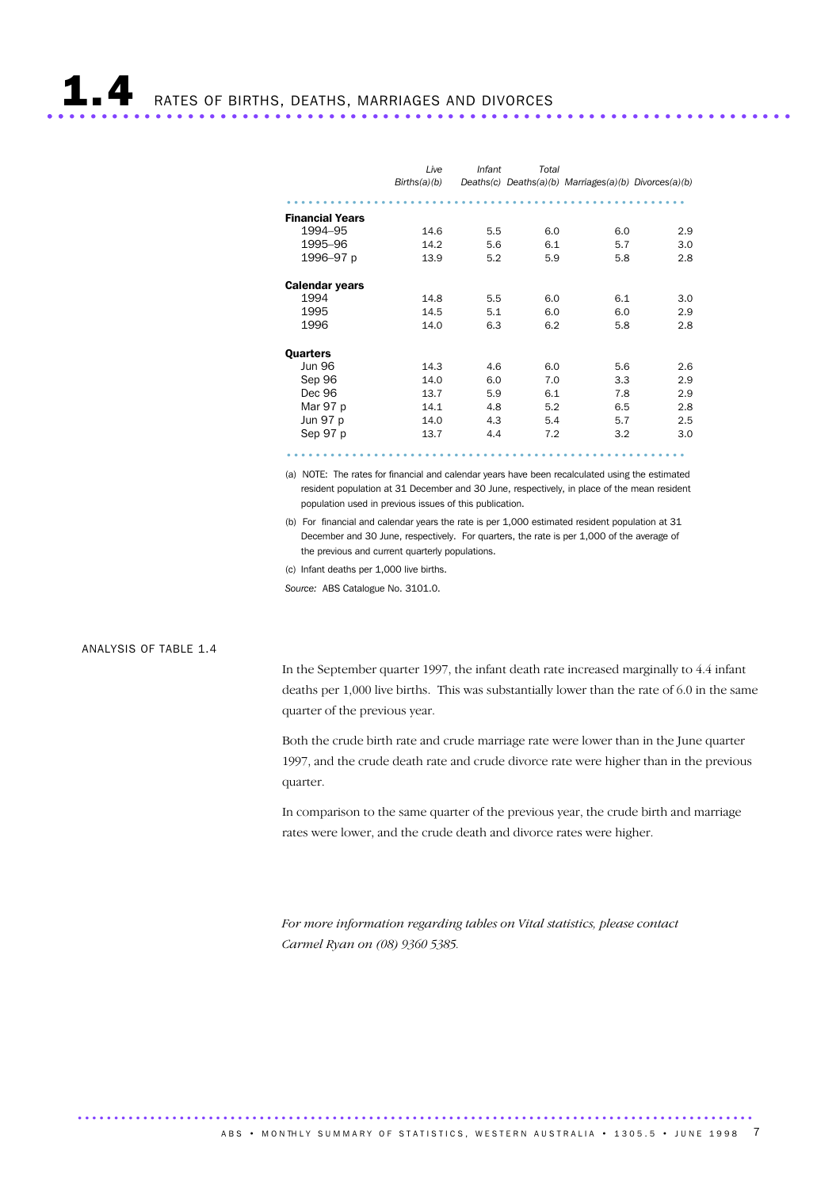**1. 4.** RATES OF BIRTHS, DEATHS, MARRIAGES AND DIVORCES

|                        | Live         | Infant | Total |                                                       |     |
|------------------------|--------------|--------|-------|-------------------------------------------------------|-----|
|                        | Births(a)(b) |        |       | Deaths(c) Deaths(a)(b) Marriages(a)(b) Divorces(a)(b) |     |
|                        |              |        |       |                                                       |     |
| <b>Financial Years</b> |              |        |       |                                                       |     |
| 1994-95                | 14.6         | 5.5    | 6.0   | 6.0                                                   | 2.9 |
| 1995-96                | 14.2         | 5.6    | 6.1   | 5.7                                                   | 3.0 |
| 1996-97 p              | 13.9         | 5.2    | 5.9   | 5.8                                                   | 2.8 |
| <b>Calendar years</b>  |              |        |       |                                                       |     |
| 1994                   | 14.8         | 5.5    | 6.0   | 6.1                                                   | 3.0 |
| 1995                   | 14.5         | 5.1    | 6.0   | 6.0                                                   | 2.9 |
| 1996                   | 14.0         | 6.3    | 6.2   | 5.8                                                   | 2.8 |
| Quarters               |              |        |       |                                                       |     |
| <b>Jun 96</b>          | 14.3         | 4.6    | 6.0   | 5.6                                                   | 2.6 |
| Sep 96                 | 14.0         | 6.0    | 7.0   | 3.3                                                   | 2.9 |
| Dec 96                 | 13.7         | 5.9    | 6.1   | 7.8                                                   | 2.9 |
| Mar 97 p               | 14.1         | 4.8    | 5.2   | 6.5                                                   | 2.8 |
| Jun 97 p               | 14.0         | 4.3    | 5.4   | 5.7                                                   | 2.5 |
| Sep 97 p               | 13.7         | 4.4    | 7.2   | 3.2                                                   | 3.0 |
|                        |              |        |       |                                                       |     |

(a) NOTE: The rates for financial and calendar years have been recalculated using the estimated resident population at 31 December and 30 June, respectively, in place of the mean resident population used in previous issues of this publication.

(b) For financial and calendar years the rate is per 1,000 estimated resident population at 31 December and 30 June, respectively. For quarters, the rate is per 1,000 of the average of the previous and current quarterly populations.

(c) Infant deaths per 1,000 live births.

*Source:* ABS Catalogue No. 3101.0.

#### ANALYSIS OF TABLE 1.4

In the September quarter 1997, the infant death rate increased marginally to 4.4 infant deaths per 1,000 live births. This was substantially lower than the rate of 6.0 in the same quarter of the previous year.

Both the crude birth rate and crude marriage rate were lower than in the June quarter 1997, and the crude death rate and crude divorce rate were higher than in the previous quarter.

In comparison to the same quarter of the previous year, the crude birth and marriage rates were lower, and the crude death and divorce rates were higher.

*For more information regarding tables on Vital statistics, please contact Carmel Ryan on (08) 9360 5385.*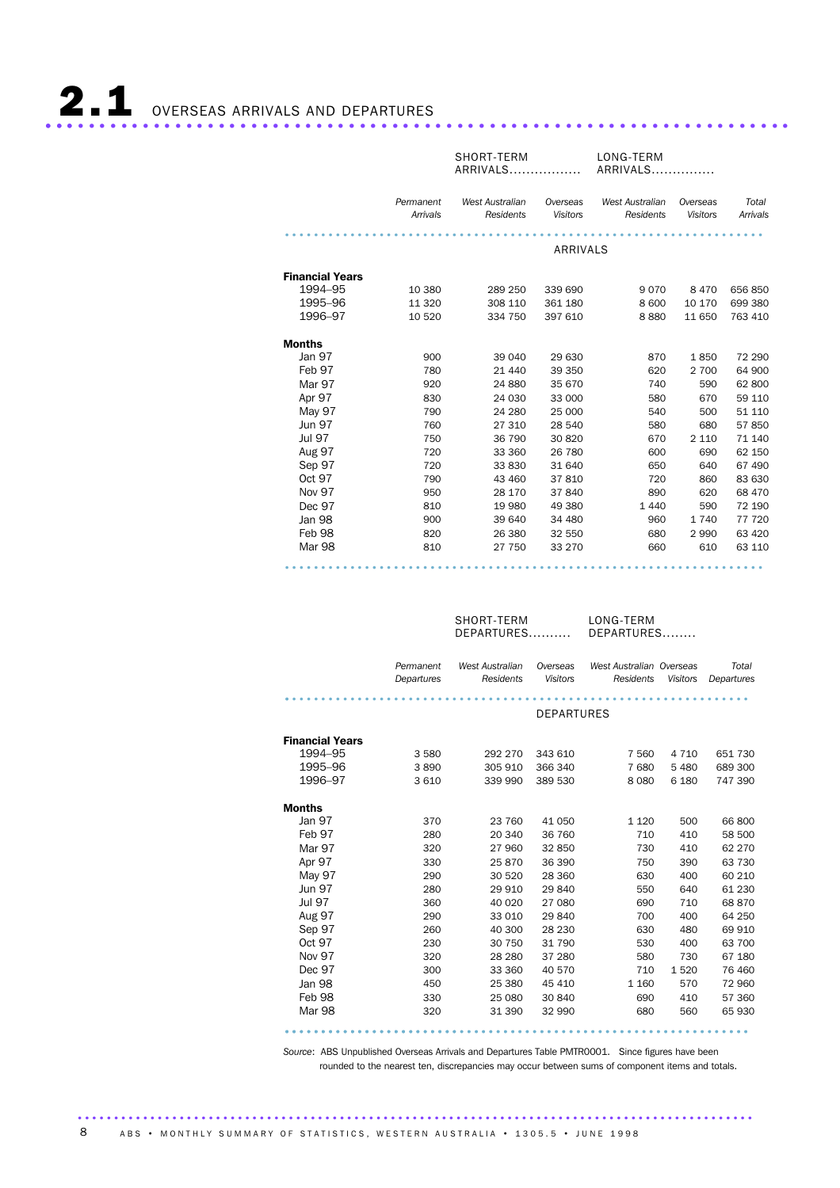|                        |                       | SHORT-TERM<br>ARRIVALS                     |                             | LONG-TERM<br>ARRIVALS                      |                             |                   |
|------------------------|-----------------------|--------------------------------------------|-----------------------------|--------------------------------------------|-----------------------------|-------------------|
|                        | Permanent<br>Arrivals | <b>West Australian</b><br><b>Residents</b> | Overseas<br><b>Visitors</b> | <b>West Australian</b><br><b>Residents</b> | Overseas<br><b>Visitors</b> | Total<br>Arrivals |
|                        |                       |                                            | ARRIVALS                    |                                            |                             |                   |
|                        |                       |                                            |                             |                                            |                             |                   |
| <b>Financial Years</b> |                       |                                            |                             |                                            |                             |                   |
| 1994-95                | 10 380                | 289 250                                    | 339 690                     | 9070                                       | 8470                        | 656 850           |
| 1995-96                | 11 3 20               | 308 110                                    | 361 180                     | 8 600                                      | 10 170                      | 699 380           |
| 1996-97                | 10 520                | 334 750                                    | 397 610                     | 8880                                       | 11 650                      | 763 410           |
| <b>Months</b>          |                       |                                            |                             |                                            |                             |                   |
| Jan 97                 | 900                   | 39 040                                     | 29 630                      | 870                                        | 1850                        | 72 290            |
| Feb 97                 | 780                   | 21 440                                     | 39 350                      | 620                                        | 2 700                       | 64 900            |
| Mar 97                 | 920                   | 24 880                                     | 35 670                      | 740                                        | 590                         | 62 800            |
| Apr 97                 | 830                   | 24 030                                     | 33 000                      | 580                                        | 670                         | 59 110            |
| May 97                 | 790                   | 24 280                                     | 25 000                      | 540                                        | 500                         | 51 110            |
| <b>Jun 97</b>          | 760                   | 27 310                                     | 28 540                      | 580                                        | 680                         | 57 850            |
| <b>Jul 97</b>          | 750                   | 36 790                                     | 30 820                      | 670                                        | 2 1 1 0                     | 71 140            |
| <b>Aug 97</b>          | 720                   | 33 360                                     | 26 780                      | 600                                        | 690                         | 62 150            |
| Sep 97                 | 720                   | 33 830                                     | 31 640                      | 650                                        | 640                         | 67 490            |
| Oct 97                 | 790                   | 43 460                                     | 37810                       | 720                                        | 860                         | 83 630            |
| Nov 97                 | 950                   | 28 170                                     | 37840                       | 890                                        | 620                         | 68 470            |
| Dec 97                 | 810                   | 19 980                                     | 49 380                      | 1 4 4 0                                    | 590                         | 72 190            |
| Jan 98                 | 900                   | 39 640                                     | 34 480                      | 960                                        | 1 740                       | 77 720            |
| Feb 98                 | 820                   | 26 380                                     | 32 550                      | 680                                        | 2 9 9 0                     | 63 4 20           |
| Mar 98                 | 810                   | 27 750                                     | 33 270                      | 660                                        | 610                         | 63 110            |
|                        |                       |                                            |                             |                                            | .                           |                   |

SHORT-TERM DEPARTURES.......... LONG-TERM DEPARTURES........ *Permanent West Australian Overseas West Australian Overseas Departures Residents Visitors Residents Visitors Departures Total*  ................................................................ . DEPARTURES Financial Years<br>1994-95 1994–95 3 580 292 270 343 610 7 560 4 710 651 730 1995–96 3 890 305 910 366 340 7 680 5 480 689 300 1996–97 3 610 339 990 389 530 8 080 6 180 747 390 **Months**<br>Jan 97 370 23 760 41 050 1 120 500 66 800<br>280 20 340 36 760 710 410 58 500 Feb 97 280 20 340 36 760 710 410 58 500<br>
Mar 97 320 27 960 32 850 730 410 62 270<br>
Apr 97 330 25 870 36 390 750 390 63 730 Mar 97 320 27 960 32 850 730 410 62 270 Apr 97 330 25 870 36 390 750 390 63 730 May 97 290 30 520 28 360 630 400 60 210<br>
Jun 97 280 29 910 29 840 550 640 61 230 Jun 97 280 29 910 29 840 550 640 61 230 Jul 97 360 40 020 27 080 690 710 68 870 Aug 97 290 33 010 29 840 700 400 64 250 997 260 40 300 28 230 630 480 69 910<br>
0ct 97 230 30 750 31 790 530 400 63 700<br>
Nov 97 320 28 280 37 280 580 730 67 180<br>
Dec 97 300 33 360 40 570 710 1 520 76 460 Oct 97 230 30 750 31 790 530 400 63 700 Nov 97 320 28 280 37 280 580 730 67 180 Dec 97 300 33 360 40 570 710 1 520 76 460<br>
Jan 98 450 25 380 45 410 1 160 570 72 960 Jan 98 450 25 380 45 410 1 160 570 72 960 Feb 98 330 25 080 30 840 690 410 57 360 Mar 98 320 31 390 32 990 680 560 65 930

................................................................ ........................ *Source*: ABS Unpublished Overseas Arrivals and Departures Table PMTR0001. Since figures have been

rounded to the nearest ten, discrepancies may occur between sums of component items and totals.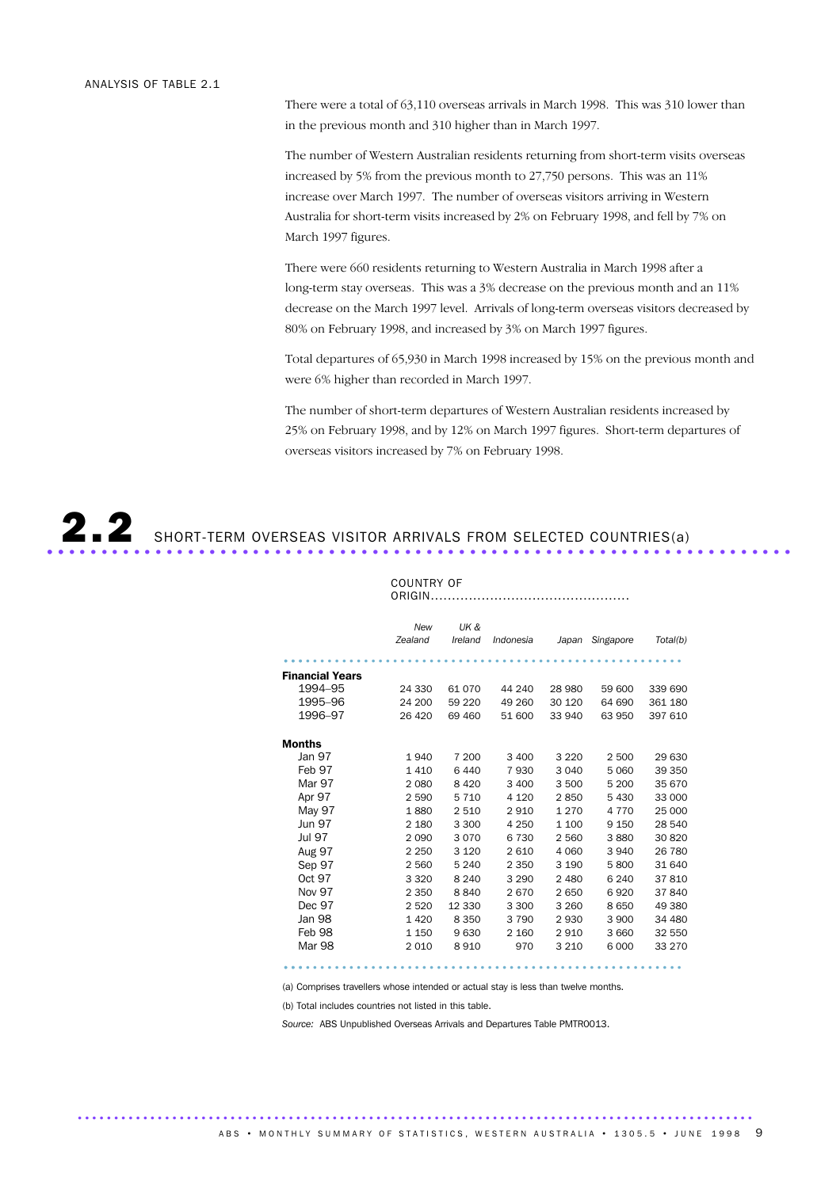#### ANALYSIS OF TABLE 2.1

There were a total of 63,110 overseas arrivals in March 1998. This was 310 lower than in the previous month and 310 higher than in March 1997.

The number of Western Australian residents returning from short-term visits overseas increased by 5% from the previous month to 27,750 persons. This was an 11% increase over March 1997. The number of overseas visitors arriving in Western Australia for short-term visits increased by 2% on February 1998, and fell by 7% on March 1997 figures.

There were 660 residents returning to Western Australia in March 1998 after a long-term stay overseas. This was a 3% decrease on the previous month and an 11% decrease on the March 1997 level. Arrivals of long-term overseas visitors decreased by 80% on February 1998, and increased by 3% on March 1997 figures.

Total departures of 65,930 in March 1998 increased by 15% on the previous month and were 6% higher than recorded in March 1997.

The number of short-term departures of Western Australian residents increased by 25% on February 1998, and by 12% on March 1997 figures. Short-term departures of overseas visitors increased by 7% on February 1998.

ORIGIN...............................................

## **2.2** SHORT-TERM OVERSEAS VISITOR ARRIVALS FROM SELECTED COUNTRIES(a)

COUNTRY OF

|                        | New     | UK &    |           |         |           |          |
|------------------------|---------|---------|-----------|---------|-----------|----------|
|                        | Zealand | Ireland | Indonesia | Japan   | Singapore | Total(b) |
|                        |         |         |           |         |           |          |
| <b>Financial Years</b> |         |         |           |         |           |          |
| 1994-95                | 24 330  | 61 0 70 | 44 240    | 28 980  | 59 600    | 339 690  |
| 1995-96                | 24 200  | 59 2 20 | 49 260    | 30 120  | 64 690    | 361 180  |
| 1996-97                | 26 4 20 | 69 460  | 51 600    | 33 940  | 63 950    | 397 610  |
| <b>Months</b>          |         |         |           |         |           |          |
| Jan 97                 | 1940    | 7 200   | 3 4 0 0   | 3 2 2 0 | 2 500     | 29 630   |
| Feb 97                 | 1410    | 6440    | 7930      | 3 0 4 0 | 5 0 6 0   | 39 350   |
| Mar 97                 | 2 0 8 0 | 8 4 2 0 | 3 4 0 0   | 3 500   | 5 200     | 35 670   |
| Apr 97                 | 2 5 9 0 | 5 7 1 0 | 4 1 2 0   | 2850    | 5430      | 33 000   |
| May 97                 | 1880    | 2 5 1 0 | 2910      | 1 2 7 0 | 4 7 7 0   | 25 000   |
| <b>Jun 97</b>          | 2 1 8 0 | 3 300   | 4 2 5 0   | 1 100   | 9 1 5 0   | 28 540   |
| <b>Jul 97</b>          | 2 0 9 0 | 3070    | 6730      | 2 5 6 0 | 3880      | 30 820   |
| <b>Aug 97</b>          | 2 2 5 0 | 3 1 2 0 | 2610      | 4 0 6 0 | 3940      | 26 780   |
| Sep 97                 | 2 5 6 0 | 5 2 4 0 | 2 3 5 0   | 3 1 9 0 | 5800      | 31 640   |
| Oct 97                 | 3 3 2 0 | 8 2 4 0 | 3 2 9 0   | 2 4 8 0 | 6 2 4 0   | 37810    |
| <b>Nov 97</b>          | 2 3 5 0 | 8840    | 2670      | 2650    | 6920      | 37840    |
| Dec 97                 | 2 5 2 0 | 12 330  | 3 3 0 0   | 3 2 6 0 | 8650      | 49 380   |
| Jan 98                 | 1420    | 8 3 5 0 | 3790      | 2930    | 3 9 0 0   | 34 480   |
| Feb 98                 | 1 1 5 0 | 9630    | 2 160     | 2910    | 3 6 6 0   | 32 550   |
| Mar 98                 | 2010    | 8910    | 970       | 3 2 1 0 | 6 0 0 0   | 33 270   |
|                        |         |         |           |         |           |          |

(a) Comprises travellers whose intended or actual stay is less than twelve months.

(b) Total includes countries not listed in this table.

*Source:* ABS Unpublished Overseas Arrivals and Departures Table PMTR0013.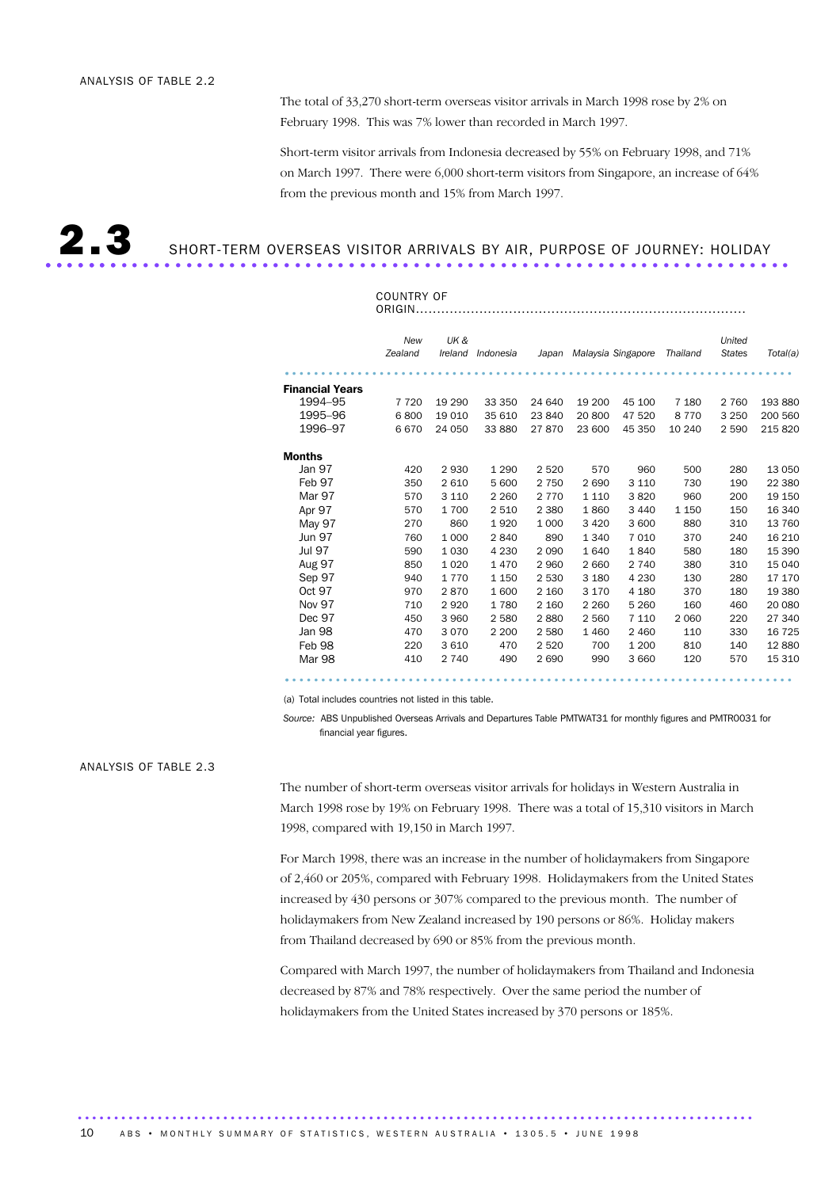The total of 33,270 short-term overseas visitor arrivals in March 1998 rose by 2% on February 1998. This was 7% lower than recorded in March 1997.

Short-term visitor arrivals from Indonesia decreased by 55% on February 1998, and 71% on March 1997. There were 6,000 short-term visitors from Singapore, an increase of 64% from the previous month and 15% from March 1997.

## **2.3** SHORT-TERM OVERSEAS VISITOR ARRIVALS BY AIR, PURPOSE OF JOURNEY: HOLIDAY

COUNTRY OF

| ORIGIN.                |                |                |           |         |         |                          |          |                         |          |
|------------------------|----------------|----------------|-----------|---------|---------|--------------------------|----------|-------------------------|----------|
|                        | New<br>Zealand | UK&<br>Ireland | Indonesia |         |         | Japan Malaysia Singapore | Thailand | United<br><b>States</b> | Total(a) |
|                        |                |                |           |         |         |                          |          |                         |          |
| <b>Financial Years</b> |                |                |           |         |         |                          |          |                         |          |
| 1994-95                | 7 7 2 0        | 19 290         | 33 350    | 24 640  | 19 200  | 45 100                   | 7 1 8 0  | 2 7 6 0                 | 193 880  |
| 1995-96                | 6800           | 19 0 10        | 35 610    | 23 840  | 20 800  | 47 520                   | 8 7 7 0  | 3 2 5 0                 | 200 560  |
| 1996-97                | 6670           | 24 050         | 33 880    | 27870   | 23 600  | 45 350                   | 10 240   | 2 5 9 0                 | 215 820  |
| <b>Months</b>          |                |                |           |         |         |                          |          |                         |          |
| Jan 97                 | 420            | 2930           | 1 2 9 0   | 2 5 2 0 | 570     | 960                      | 500      | 280                     | 13 050   |
| Feb 97                 | 350            | 2 6 1 0        | 5 600     | 2 7 5 0 | 2690    | 3 1 1 0                  | 730      | 190                     | 22 380   |
| Mar 97                 | 570            | 3 1 1 0        | 2 2 6 0   | 2 7 7 0 | 1 1 1 0 | 3820                     | 960      | 200                     | 19 150   |
| Apr 97                 | 570            | 1700           | 2 5 1 0   | 2 3 8 0 | 1860    | 3 4 4 0                  | 1 1 5 0  | 150                     | 16 340   |
| May 97                 | 270            | 860            | 1920      | 1 0 0 0 | 3 4 2 0 | 3 600                    | 880      | 310                     | 13 760   |
| <b>Jun 97</b>          | 760            | 1 0 0 0        | 2840      | 890     | 1 3 4 0 | 7 0 1 0                  | 370      | 240                     | 16 210   |
| Jul 97                 | 590            | 1 0 3 0        | 4 2 3 0   | 2 0 9 0 | 1640    | 1840                     | 580      | 180                     | 15 390   |
| <b>Aug 97</b>          | 850            | 1 0 2 0        | 1470      | 2 9 6 0 | 2 6 6 0 | 2 740                    | 380      | 310                     | 15 040   |
| Sep 97                 | 940            | 1 7 7 0        | 1 1 5 0   | 2 5 3 0 | 3 1 8 0 | 4 2 3 0                  | 130      | 280                     | 17 170   |
| Oct 97                 | 970            | 2870           | 1 600     | 2 1 6 0 | 3 1 7 0 | 4 1 8 0                  | 370      | 180                     | 19 380   |
| Nov 97                 | 710            | 2920           | 1780      | 2 1 6 0 | 2 2 6 0 | 5 2 6 0                  | 160      | 460                     | 20 080   |
| Dec 97                 | 450            | 3 9 6 0        | 2 5 8 0   | 2880    | 2 5 6 0 | 7 1 1 0                  | 2 0 6 0  | 220                     | 27 340   |
| Jan 98                 | 470            | 3070           | 2 2 0 0   | 2 5 8 0 | 1460    | 2 4 6 0                  | 110      | 330                     | 16 7 25  |
| Feb 98                 | 220            | 3 6 1 0        | 470       | 2 5 2 0 | 700     | 1 200                    | 810      | 140                     | 12 880   |
| Mar 98                 | 410            | 2 7 4 0        | 490       | 2690    | 990     | 3 6 6 0                  | 120      | 570                     | 15 310   |
|                        |                |                |           |         |         |                          |          |                         |          |

(a) Total includes countries not listed in this table.

*Source:* ABS Unpublished Overseas Arrivals and Departures Table PMTWAT31 for monthly figures and PMTR0031 for financial year figures.

#### ANALYSIS OF TABLE 2.3

The number of short-term overseas visitor arrivals for holidays in Western Australia in March 1998 rose by 19% on February 1998. There was a total of 15,310 visitors in March 1998, compared with 19,150 in March 1997.

For March 1998, there was an increase in the number of holidaymakers from Singapore of 2,460 or 205%, compared with February 1998. Holidaymakers from the United States increased by 430 persons or 307% compared to the previous month. The number of holidaymakers from New Zealand increased by 190 persons or 86%. Holiday makers from Thailand decreased by 690 or 85% from the previous month.

Compared with March 1997, the number of holidaymakers from Thailand and Indonesia decreased by 87% and 78% respectively. Over the same period the number of holidaymakers from the United States increased by 370 persons or 185%.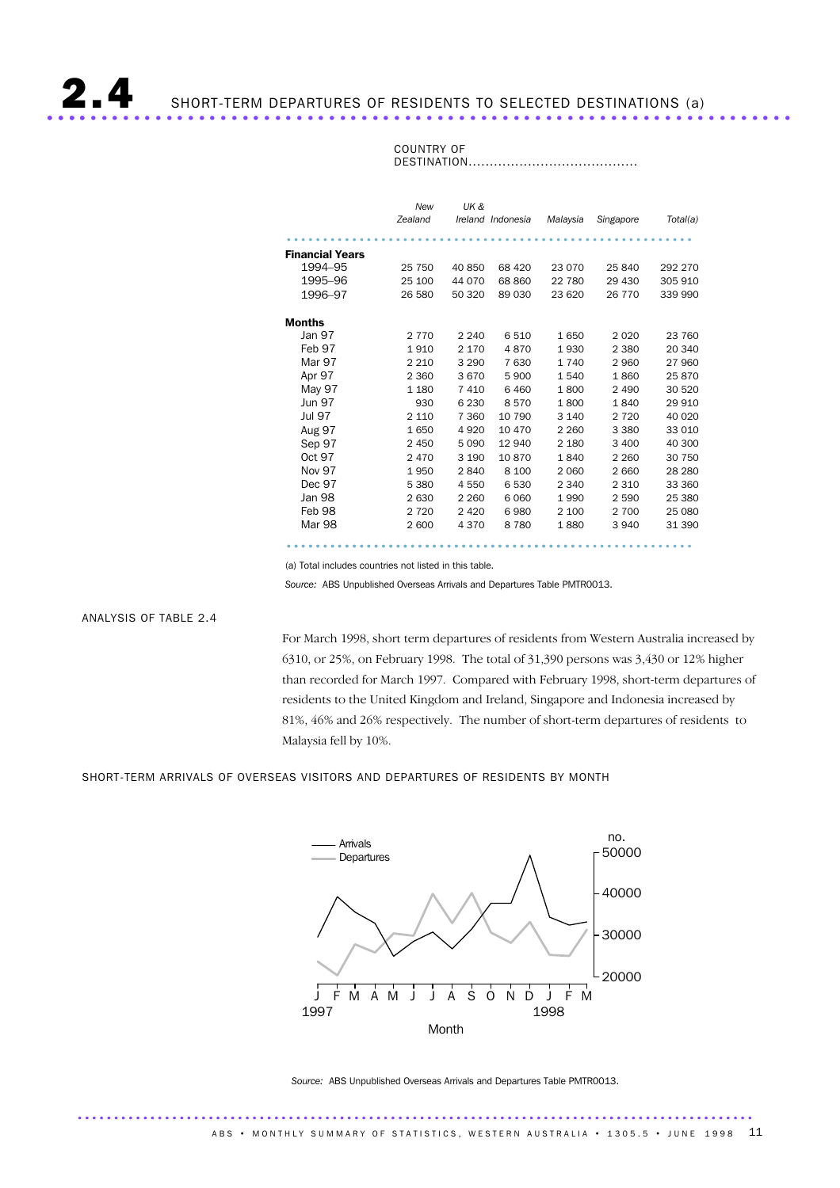### $2.4$  SHORT-TERM DEPARTURES OF RESIDENTS TO SELECTED DESTINATIONS (a)

#### COUNTRY OF DESTINATION........................................

|                        | New<br>Zealand | UK &    | Ireland Indonesia | Malaysia | Singapore | Total(a) |
|------------------------|----------------|---------|-------------------|----------|-----------|----------|
| <b>Financial Years</b> |                |         |                   |          |           |          |
| 1994-95                | 25 750         | 40 850  | 68 4 20           | 23 0 70  | 25 840    | 292 270  |
| 1995-96                | 25 100         | 44 070  | 68 860            | 22 780   | 29 430    | 305 910  |
| 1996-97                | 26 580         | 50 320  | 89 030            | 23 6 20  | 26 770    | 339 990  |
|                        |                |         |                   |          |           |          |
| Months                 |                |         |                   |          |           |          |
| Jan 97                 | 2 7 7 0        | 2 2 4 0 | 6510              | 1650     | 2 0 2 0   | 23 760   |
| Feb 97                 | 1910           | 2 1 7 0 | 4870              | 1930     | 2 3 8 0   | 20 340   |
| Mar 97                 | 2 2 1 0        | 3 2 9 0 | 7630              | 1740     | 2960      | 27 960   |
| Apr 97                 | 2 3 6 0        | 3670    | 5 900             | 1540     | 1860      | 25 870   |
| May 97                 | 1 1 8 0        | 7410    | 6460              | 1800     | 2 4 9 0   | 30 520   |
| <b>Jun 97</b>          | 930            | 6 2 3 0 | 8570              | 1800     | 1840      | 29 910   |
| <b>Jul 97</b>          | 2 1 1 0        | 7 3 6 0 | 10 790            | 3 1 4 0  | 2 7 2 0   | 40 0 20  |
| Aug 97                 | 1650           | 4 9 2 0 | 10 470            | 2 2 6 0  | 3 3 8 0   | 33 010   |
| Sep 97                 | 2 4 5 0        | 5 0 9 0 | 12 940            | 2 1 8 0  | 3 4 0 0   | 40 300   |
| Oct 97                 | 2 4 7 0        | 3 1 9 0 | 10870             | 1840     | 2 2 6 0   | 30 750   |
| Nov 97                 | 1950           | 2840    | 8 1 0 0           | 2 0 6 0  | 2660      | 28 2 8 0 |
| Dec 97                 | 5 3 8 0        | 4 5 5 0 | 6 5 3 0           | 2 3 4 0  | 2 3 1 0   | 33 360   |
| Jan 98                 | 2630           | 2 2 6 0 | 6 0 6 0           | 1990     | 2 5 9 0   | 25 380   |
| Feb 98                 | 2 7 2 0        | 2 4 2 0 | 6980              | 2 100    | 2 700     | 25 080   |
| Mar 98                 | 2 600          | 4 3 7 0 | 8780              | 1880     | 3940      | 31 390   |
|                        |                |         |                   |          |           |          |

........................................................ ........................................

(a) Total includes countries not listed in this table.

*Source:* ABS Unpublished Overseas Arrivals and Departures Table PMTR0013.

ANALYSIS OF TABLE 2.4

For March 1998, short term departures of residents from Western Australia increased by 6310, or 25%, on February 1998. The total of 31,390 persons was 3,430 or 12% higher than recorded for March 1997. Compared with February 1998, short-term departures of residents to the United Kingdom and Ireland, Singapore and Indonesia increased by 81%, 46% and 26% respectively. The number of short-term departures of residents to Malaysia fell by 10%.

SHORT-TERM ARRIVALS OF OVERSEAS VISITORS AND DEPARTURES OF RESIDENTS BY MONTH



*Source:* ABS Unpublished Overseas Arrivals and Departures Table PMTR0013.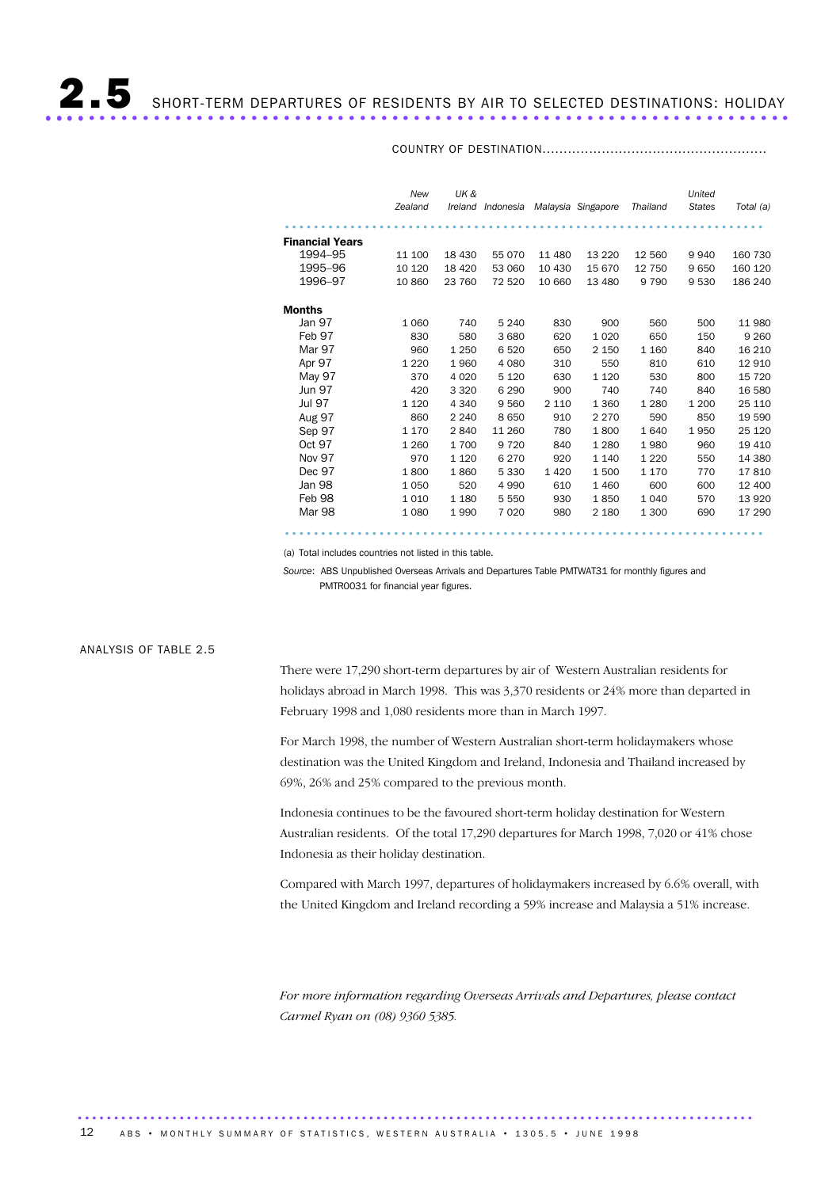#### COUNTRY OF DESTINATION.....................................................

|                        | New<br>Zealand | UK&     | Ireland Indonesia |         | Malaysia Singapore | Thailand | United<br><b>States</b> | Total (a) |
|------------------------|----------------|---------|-------------------|---------|--------------------|----------|-------------------------|-----------|
| <b>Financial Years</b> |                |         |                   |         |                    |          |                         |           |
| 1994-95                | 11 100         | 18 4 30 | 55 0 70           | 11 480  | 13 2 20            | 12 560   | 9940                    | 160 730   |
| 1995-96                | 10 120         | 18 4 20 | 53 060            | 10 430  | 15 670             | 12 750   | 9650                    | 160 120   |
| 1996-97                | 10 860         | 23 760  | 72 520            | 10 660  | 13 4 80            | 9 7 9 0  | 9 5 3 0                 | 186 240   |
| <b>Months</b>          |                |         |                   |         |                    |          |                         |           |
| Jan 97                 | 1 0 6 0        | 740     | 5 2 4 0           | 830     | 900                | 560      | 500                     | 11 980    |
| Feb 97                 | 830            | 580     | 3680              | 620     | 1 0 2 0            | 650      | 150                     | 9 2 6 0   |
| Mar 97                 | 960            | 1 2 5 0 | 6520              | 650     | 2 1 5 0            | 1 1 6 0  | 840                     | 16 210    |
| Apr 97                 | 1 2 2 0        | 1960    | 4 0 8 0           | 310     | 550                | 810      | 610                     | 12 910    |
| May 97                 | 370            | 4 0 2 0 | 5 1 2 0           | 630     | 1 1 2 0            | 530      | 800                     | 15 7 20   |
| <b>Jun 97</b>          | 420            | 3 3 2 0 | 6 2 9 0           | 900     | 740                | 740      | 840                     | 16 580    |
| <b>Jul 97</b>          | 1 1 2 0        | 4 3 4 0 | 9 5 6 0           | 2 1 1 0 | 1 3 6 0            | 1 2 8 0  | 1 200                   | 25 110    |
| Aug 97                 | 860            | 2 2 4 0 | 8650              | 910     | 2 2 7 0            | 590      | 850                     | 19 590    |
| Sep 97                 | 1 1 7 0        | 2840    | 11 260            | 780     | 1800               | 1640     | 1950                    | 25 1 20   |
| Oct 97                 | 1 2 6 0        | 1700    | 9 7 2 0           | 840     | 1 2 8 0            | 1980     | 960                     | 19 410    |
| Nov 97                 | 970            | 1 1 2 0 | 6 2 7 0           | 920     | 1 1 4 0            | 1 2 2 0  | 550                     | 14 380    |
| Dec 97                 | 1800           | 1860    | 5 3 3 0           | 1420    | 1500               | 1 1 7 0  | 770                     | 17810     |
| <b>Jan 98</b>          | 1 0 5 0        | 520     | 4 9 9 0           | 610     | 1 4 6 0            | 600      | 600                     | 12 400    |
| Feb 98                 | 1010           | 1 1 8 0 | 5 5 5 0           | 930     | 1850               | 1 0 4 0  | 570                     | 13 9 20   |
| Mar 98                 | 1 0 8 0        | 1990    | 7020              | 980     | 2 1 8 0            | 1 300    | 690                     | 17 290    |
|                        |                |         |                   |         |                    |          |                         |           |

(a) Total includes countries not listed in this table.

*Source*: ABS Unpublished Overseas Arrivals and Departures Table PMTWAT31 for monthly figures and PMTR0031 for financial year figures.

#### ANALYSIS OF TABLE 2.5

There were 17,290 short-term departures by air of Western Australian residents for holidays abroad in March 1998. This was 3,370 residents or 24% more than departed in February 1998 and 1,080 residents more than in March 1997.

For March 1998, the number of Western Australian short-term holidaymakers whose destination was the United Kingdom and Ireland, Indonesia and Thailand increased by 69%, 26% and 25% compared to the previous month.

Indonesia continues to be the favoured short-term holiday destination for Western Australian residents. Of the total 17,290 departures for March 1998, 7,020 or 41% chose Indonesia as their holiday destination.

Compared with March 1997, departures of holidaymakers increased by 6.6% overall, with the United Kingdom and Ireland recording a 59% increase and Malaysia a 51% increase.

*For more information regarding Overseas Arrivals and Departures, please contact Carmel Ryan on (08) 9360 5385.*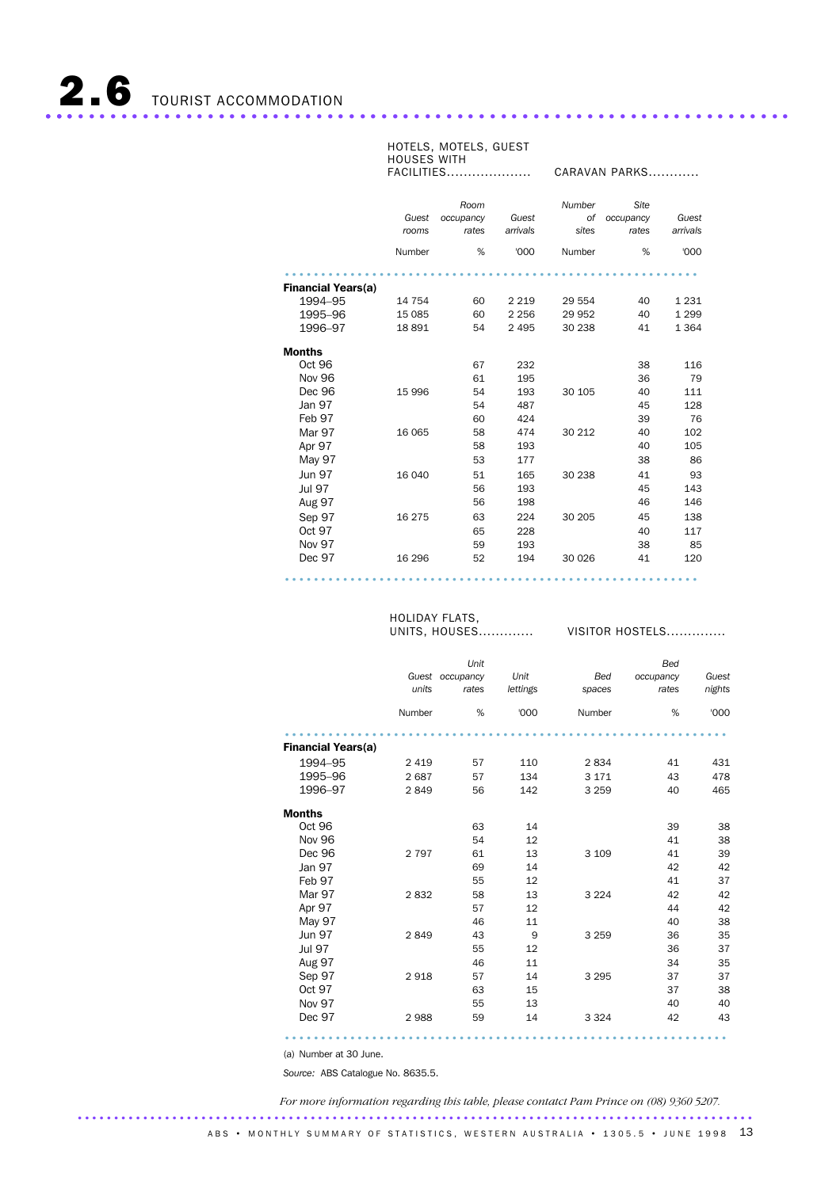#### HOTELS, MOTELS, GUEST HOUSES WITH

FACILITIES.................... CARAVAN PARKS............

|                    | Guest<br>rooms | Room<br>occupancy<br>rates | Guest<br>arrivals | Number<br>0f<br>sites | Site<br>occupancy<br>rates | Guest<br>arrivals |
|--------------------|----------------|----------------------------|-------------------|-----------------------|----------------------------|-------------------|
|                    | Number         | %                          | '000              | Number                | %                          | '000              |
|                    |                |                            |                   |                       |                            |                   |
| Financial Years(a) |                |                            |                   |                       |                            |                   |
| 1994-95            | 14 754         | 60                         | 2 2 1 9           | 29 554                | 40                         | 1 2 3 1           |
| 1995-96            | 15 085         | 60                         | 2 2 5 6           | 29 952                | 40                         | 1 2 9 9           |
| 1996-97            | 18891          | 54                         | 2 4 9 5           | 30 238                | 41                         | 1 3 6 4           |
| <b>Months</b>      |                |                            |                   |                       |                            |                   |
| <b>Oct 96</b>      |                | 67                         | 232               |                       | 38                         | 116               |
| <b>Nov 96</b>      |                | 61                         | 195               |                       | 36                         | 79                |
| Dec 96             | 15 996         | 54                         | 193               | 30 105                | 40                         | 111               |
| Jan 97             |                | 54                         | 487               |                       | 45                         | 128               |
| Feb 97             |                | 60                         | 424               |                       | 39                         | 76                |
| Mar 97             | 16 065         | 58                         | 474               | 30 212                | 40                         | 102               |
| Apr 97             |                | 58                         | 193               |                       | 40                         | 105               |
| May 97             |                | 53                         | 177               |                       | 38                         | 86                |
| <b>Jun 97</b>      | 16 040         | 51                         | 165               | 30 238                | 41                         | 93                |
| <b>Jul 97</b>      |                | 56                         | 193               |                       | 45                         | 143               |
| <b>Aug 97</b>      |                | 56                         | 198               |                       | 46                         | 146               |
| Sep 97             | 16 275         | 63                         | 224               | 30 205                | 45                         | 138               |
| Oct 97             |                | 65                         | 228               |                       | 40                         | 117               |
| Nov 97             |                | 59                         | 193               |                       | 38                         | 85                |
| Dec 97             | 16 29 6        | 52                         | 194               | 30 0 26               | 41                         | 120               |
|                    |                |                            |                   |                       |                            |                   |

.........................................................

HOLIDAY FLATS,

**UNITS, HOUSES...............** VISITOR HOSTELS..............

|                           | units   | Unit<br>Guest occupancy<br>rates | Unit<br>lettings | Bed<br>spaces | Bed<br>occupancy<br>rates | Guest<br>nights |
|---------------------------|---------|----------------------------------|------------------|---------------|---------------------------|-----------------|
|                           | Number  | %                                | '000             | Number        | %                         | '000            |
|                           |         |                                  |                  |               |                           |                 |
| <b>Financial Years(a)</b> |         |                                  |                  |               |                           |                 |
| 1994-95                   | 2 4 1 9 | 57                               | 110              | 2834          | 41                        | 431             |
| 1995-96                   | 2687    | 57                               | 134              | 3 1 7 1       | 43                        | 478             |
| 1996-97                   | 2849    | 56                               | 142              | 3 2 5 9       | 40                        | 465             |
| <b>Months</b>             |         |                                  |                  |               |                           |                 |
| <b>Oct 96</b>             |         | 63                               | 14               |               | 39                        | 38              |
| <b>Nov 96</b>             |         | 54                               | 12               |               | 41                        | 38              |
| Dec 96                    | 2 7 9 7 | 61                               | 13               | 3 1 0 9       | 41                        | 39              |
| Jan 97                    |         | 69                               | 14               |               | 42                        | 42              |
| Feb 97                    |         | 55                               | 12               |               | 41                        | 37              |
| Mar 97                    | 2832    | 58                               | 13               | 3 2 2 4       | 42                        | 42              |
| Apr 97                    |         | 57                               | 12               |               | 44                        | 42              |
| May 97                    |         | 46                               | 11               |               | 40                        | 38              |
| <b>Jun 97</b>             | 2849    | 43                               | 9                | 3 2 5 9       | 36                        | 35              |
| <b>Jul 97</b>             |         | 55                               | 12               |               | 36                        | 37              |
| <b>Aug 97</b>             |         | 46                               | 11               |               | 34                        | 35              |
| Sep 97                    | 2918    | 57                               | 14               | 3 2 9 5       | 37                        | 37              |
| Oct 97                    |         | 63                               | 15               |               | 37                        | 38              |
| <b>Nov 97</b>             |         | 55                               | 13               |               | 40                        | 40              |
| Dec 97                    | 2988    | 59                               | 14               | 3 3 2 4       | 42                        | 43              |
|                           |         |                                  |                  |               |                           |                 |

(a) Number at 30 June.

*Source:* ABS Catalogue No. 8635.5.

.............................................................................................

*For more information regarding this table, please contatct Pam Prince on (08) 9360 5207.*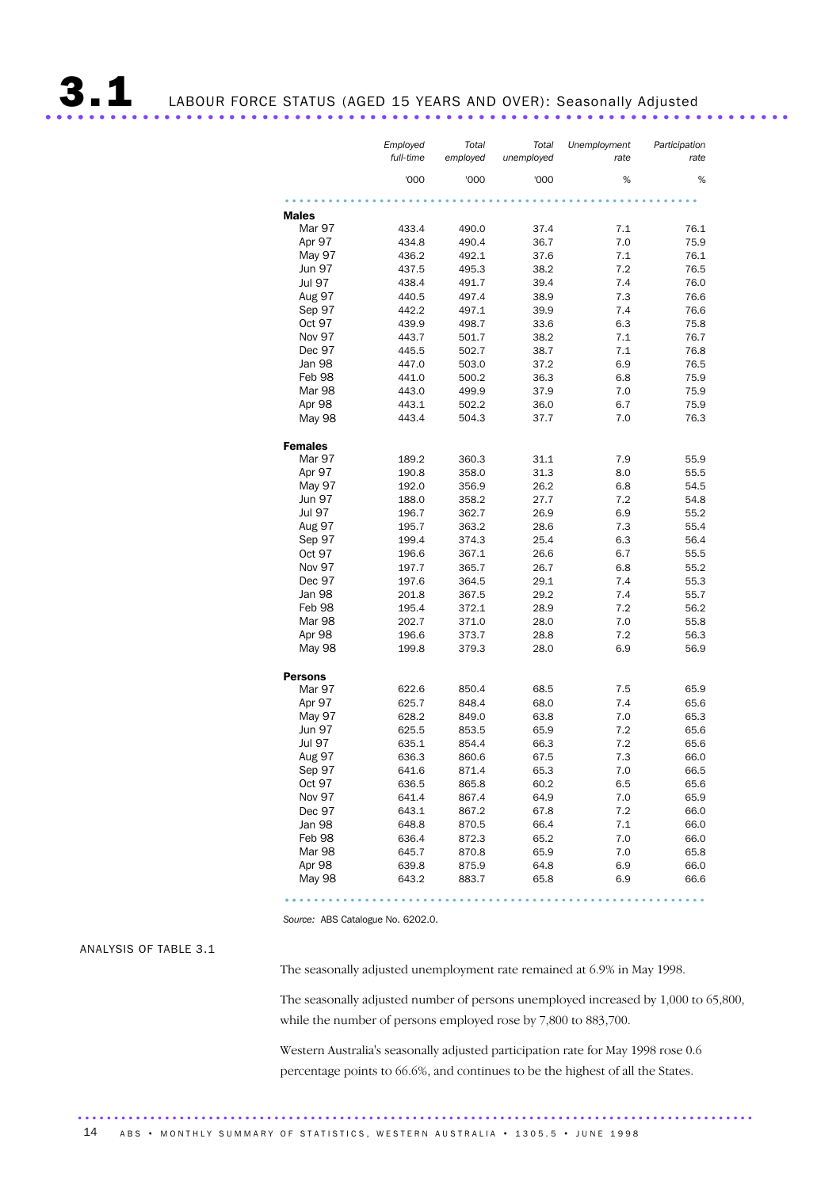3.1 LABOUR FORCE STATUS (AGED 15 YEARS AND OVER): Seasonally Adjusted ..................................................................... ....

|                  | Employed       | Total          | Total        | <b>Unemployment</b> | Participation |
|------------------|----------------|----------------|--------------|---------------------|---------------|
|                  | full-time      | employed       | unemployed   | rate                | rate          |
|                  | 000'           | '000           | '000         | %                   | %             |
|                  |                |                |              |                     |               |
| <b>Males</b>     |                |                |              |                     |               |
| Mar 97           | 433.4          | 490.0          | 37.4         | 7.1                 | 76.1          |
| Apr 97           | 434.8          | 490.4          | 36.7         | 7.0                 | 75.9          |
| May 97           | 436.2          | 492.1          | 37.6         | 7.1                 | 76.1          |
| Jun 97           | 437.5          | 495.3          | 38.2         | 7.2                 | 76.5          |
| Jul 97           | 438.4          | 491.7          | 39.4         | 7.4                 | 76.0          |
| Aug 97           | 440.5          | 497.4          | 38.9         | 7.3                 | 76.6          |
| Sep 97           | 442.2          | 497.1          | 39.9         | 7.4                 | 76.6          |
| Oct 97           | 439.9          | 498.7          | 33.6         | 6.3                 | 75.8          |
| Nov 97           | 443.7          | 501.7          | 38.2         | 7.1                 | 76.7          |
| Dec 97           | 445.5          | 502.7          | 38.7         | 7.1                 | 76.8          |
| Jan 98<br>Feb 98 | 447.0<br>441.0 | 503.0<br>500.2 | 37.2<br>36.3 | 6.9<br>6.8          | 76.5<br>75.9  |
| Mar 98           | 443.0          | 499.9          | 37.9         | 7.0                 | 75.9          |
| Apr 98           | 443.1          | 502.2          | 36.0         | 6.7                 | 75.9          |
| <b>May 98</b>    | 443.4          | 504.3          | 37.7         | 7.0                 | 76.3          |
|                  |                |                |              |                     |               |
| <b>Females</b>   |                |                |              |                     |               |
| Mar 97           | 189.2          | 360.3          | 31.1         | 7.9                 | 55.9          |
| Apr 97           | 190.8          | 358.0          | 31.3         | 8.0                 | 55.5          |
| May 97           | 192.0          | 356.9          | 26.2         | 6.8                 | 54.5          |
| Jun 97           | 188.0          | 358.2          | 27.7         | 7.2                 | 54.8          |
| <b>Jul 97</b>    | 196.7          | 362.7          | 26.9         | 6.9                 | 55.2          |
| Aug 97           | 195.7          | 363.2          | 28.6         | 7.3                 | 55.4          |
| Sep 97           | 199.4          | 374.3          | 25.4         | 6.3                 | 56.4          |
| Oct 97           | 196.6          | 367.1          | 26.6         | 6.7                 | 55.5          |
| Nov 97           | 197.7          | 365.7          | 26.7         | 6.8                 | 55.2          |
| Dec 97           | 197.6          | 364.5          | 29.1         | 7.4                 | 55.3          |
| Jan 98           | 201.8          | 367.5          | 29.2         | 7.4                 | 55.7          |
| Feb 98           | 195.4          | 372.1          | 28.9         | 7.2                 | 56.2          |
| Mar 98           | 202.7          | 371.0          | 28.0         | 7.0                 | 55.8          |
| Apr 98           | 196.6          | 373.7          | 28.8         | 7.2                 | 56.3          |
| May 98           | 199.8          | 379.3          | 28.0         | 6.9                 | 56.9          |
| <b>Persons</b>   |                |                |              |                     |               |
| Mar 97           | 622.6          | 850.4          | 68.5         | 7.5                 | 65.9          |
| Apr 97           | 625.7          | 848.4          | 68.0         | 7.4                 | 65.6          |
| May 97           | 628.2          | 849.0          | 63.8         | 7.0                 | 65.3          |
| Jun 97           | 625.5          | 853.5          | 65.9         | 7.2                 | 65.6          |
| <b>Jul 97</b>    | 635.1          | 854.4          | 66.3         | 7.2                 | 65.6          |
| Aug 97           | 636.3          | 860.6          | 67.5         | 7.3                 | 66.0          |
| Sep 97           | 641.6          | 871.4          | 65.3         | 7.0                 | 66.5          |
| Oct 97           | 636.5          | 865.8          | 60.2         | 6.5                 | 65.6          |
| Nov 97           | 641.4          | 867.4          | 64.9         | 7.0                 | 65.9          |
| Dec 97           | 643.1          | 867.2          | 67.8         | 7.2                 | 66.0          |
| Jan 98           | 648.8          | 870.5          | 66.4         | 7.1                 | 66.0          |
| Feb 98           | 636.4          | 872.3          | 65.2         | 7.0                 | 66.0          |
| Mar 98           | 645.7          | 870.8          | 65.9         | 7.0                 | 65.8          |
| Apr 98           | 639.8          | 875.9          | 64.8         | 6.9                 | 66.0          |
| <b>May 98</b>    | 643.2          | 883.7          | 65.8         | 6.9                 | 66.6          |

*Source:* ABS Catalogue No. 6202.0.

#### ANALYSIS OF TABLE 3.1

The seasonally adjusted unemployment rate remained at 6.9% in May 1998.

The seasonally adjusted number of persons unemployed increased by 1,000 to 65,800, while the number of persons employed rose by 7,800 to 883,700.

.......................................................... ..

Western Australia's seasonally adjusted participation rate for May 1998 rose 0.6 percentage points to 66.6%, and continues to be the highest of all the States.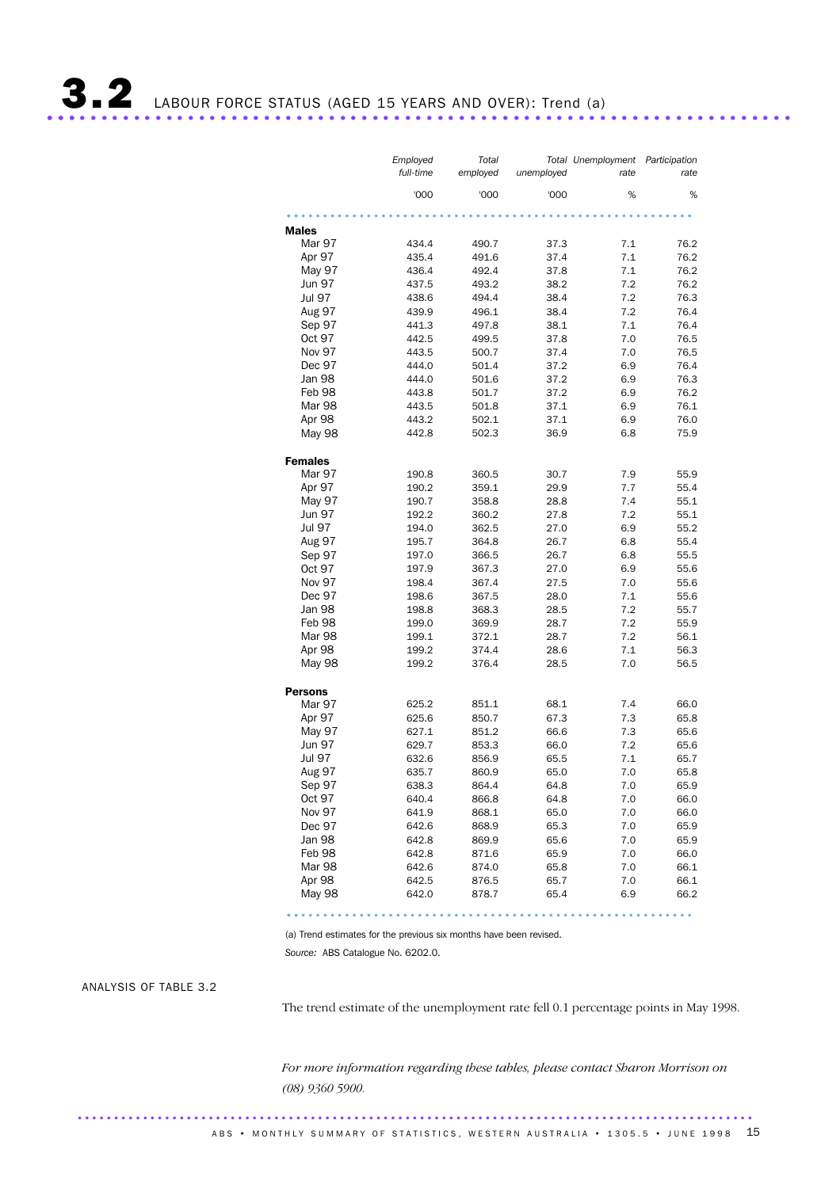|                | Employed<br>full-time | Total<br>employed | unemployed | Total Unemployment Participation<br>rate | rate |
|----------------|-----------------------|-------------------|------------|------------------------------------------|------|
|                | '000                  | '000              | '000       | %                                        | %    |
|                |                       |                   |            |                                          |      |
| Males          |                       |                   |            |                                          |      |
| Mar 97         | 434.4                 | 490.7             | 37.3       | 7.1                                      | 76.2 |
| Apr 97         | 435.4                 | 491.6             | 37.4       | 7.1                                      | 76.2 |
| May 97         | 436.4                 | 492.4             | 37.8       | 7.1                                      | 76.2 |
| Jun 97         | 437.5                 | 493.2             | 38.2       | 7.2                                      | 76.2 |
| Jul 97         | 438.6                 | 494.4             | 38.4       | 7.2                                      | 76.3 |
| Aug 97         | 439.9                 | 496.1             | 38.4       | 7.2                                      | 76.4 |
| Sep 97         | 441.3                 | 497.8             | 38.1       | 7.1                                      | 76.4 |
| Oct 97         | 442.5                 | 499.5             | 37.8       | 7.0                                      | 76.5 |
| Nov 97         | 443.5                 | 500.7             | 37.4       | 7.0                                      | 76.5 |
| Dec 97         | 444.0                 | 501.4             | 37.2       | 6.9                                      | 76.4 |
| Jan 98         | 444.0                 | 501.6             | 37.2       | 6.9                                      | 76.3 |
| Feb 98         | 443.8                 | 501.7             | 37.2       | 6.9                                      | 76.2 |
| Mar 98         | 443.5                 | 501.8             | 37.1       | 6.9                                      | 76.1 |
| Apr 98         | 443.2                 | 502.1             | 37.1       | 6.9                                      | 76.0 |
| May 98         | 442.8                 | 502.3             | 36.9       | 6.8                                      | 75.9 |
| <b>Females</b> |                       |                   |            |                                          |      |
| Mar 97         | 190.8                 | 360.5             | 30.7       | 7.9                                      | 55.9 |
| Apr 97         | 190.2                 | 359.1             | 29.9       | 7.7                                      | 55.4 |
| May 97         | 190.7                 | 358.8             | 28.8       | 7.4                                      | 55.1 |
| Jun 97         | 192.2                 | 360.2             | 27.8       | 7.2                                      | 55.1 |
| Jul 97         | 194.0                 | 362.5             | 27.0       | 6.9                                      | 55.2 |
| <b>Aug 97</b>  | 195.7                 | 364.8             | 26.7       | 6.8                                      | 55.4 |
| Sep 97         | 197.0                 | 366.5             | 26.7       | 6.8                                      | 55.5 |
| Oct 97         | 197.9                 | 367.3             | 27.0       | 6.9                                      | 55.6 |
| <b>Nov 97</b>  | 198.4                 | 367.4             | 27.5       | 7.0                                      | 55.6 |
| Dec 97         | 198.6                 | 367.5             | 28.0       | 7.1                                      | 55.6 |
| Jan 98         | 198.8                 | 368.3             | 28.5       | 7.2                                      | 55.7 |
| Feb 98         | 199.0                 | 369.9             | 28.7       | 7.2                                      | 55.9 |
| Mar 98         | 199.1                 | 372.1             | 28.7       | 7.2                                      | 56.1 |
| Apr 98         | 199.2                 | 374.4             | 28.6       | 7.1                                      | 56.3 |
| <b>May 98</b>  | 199.2                 | 376.4             | 28.5       | 7.0                                      | 56.5 |
| <b>Persons</b> |                       |                   |            |                                          |      |
| Mar 97         | 625.2                 | 851.1             | 68.1       | 7.4                                      | 66.0 |
| Apr 97         | 625.6                 | 850.7             | 67.3       | 7.3                                      | 65.8 |
| May 97         | 627.1                 | 851.2             | 66.6       | 7.3                                      | 65.6 |
| Jun 97         | 629.7                 | 853.3             | 66.0       | 7.2                                      | 65.6 |
| Jul 97         | 632.6                 | 856.9             | 65.5       | 7.1                                      | 65.7 |
| Aug 97         | 635.7                 | 860.9             | 65.0       | 7.0                                      | 65.8 |
| Sep 97         | 638.3                 | 864.4             | 64.8       | 7.0                                      | 65.9 |
| Oct 97         | 640.4                 | 866.8             | 64.8       | 7.0                                      | 66.0 |
| Nov 97         | 641.9                 | 868.1             | 65.0       | 7.0                                      | 66.0 |
| Dec 97         | 642.6                 | 868.9             | 65.3       | 7.0                                      | 65.9 |
| Jan 98         | 642.8                 | 869.9             | 65.6       | 7.0                                      | 65.9 |
| Feb 98         | 642.8                 | 871.6             | 65.9       | 7.0                                      | 66.0 |
| Mar 98         | 642.6                 | 874.0             | 65.8       | 7.0                                      | 66.1 |
| Apr 98         | 642.5                 | 876.5             | 65.7       | 7.0                                      | 66.1 |
| <b>May 98</b>  | 642.0                 | 878.7             | 65.4       | 6.9                                      | 66.2 |
| .              |                       |                   |            |                                          |      |

(a) Trend estimates for the previous six months have been revised.

.............................................................................................

*Source:* ABS Catalogue No. 6202.0.

#### ANALYSIS OF TABLE 3.2

The trend estimate of the unemployment rate fell 0.1 percentage points in May 1998.

*For more information regarding these tables, please contact Sharon Morrison on (08) 9360 5900.*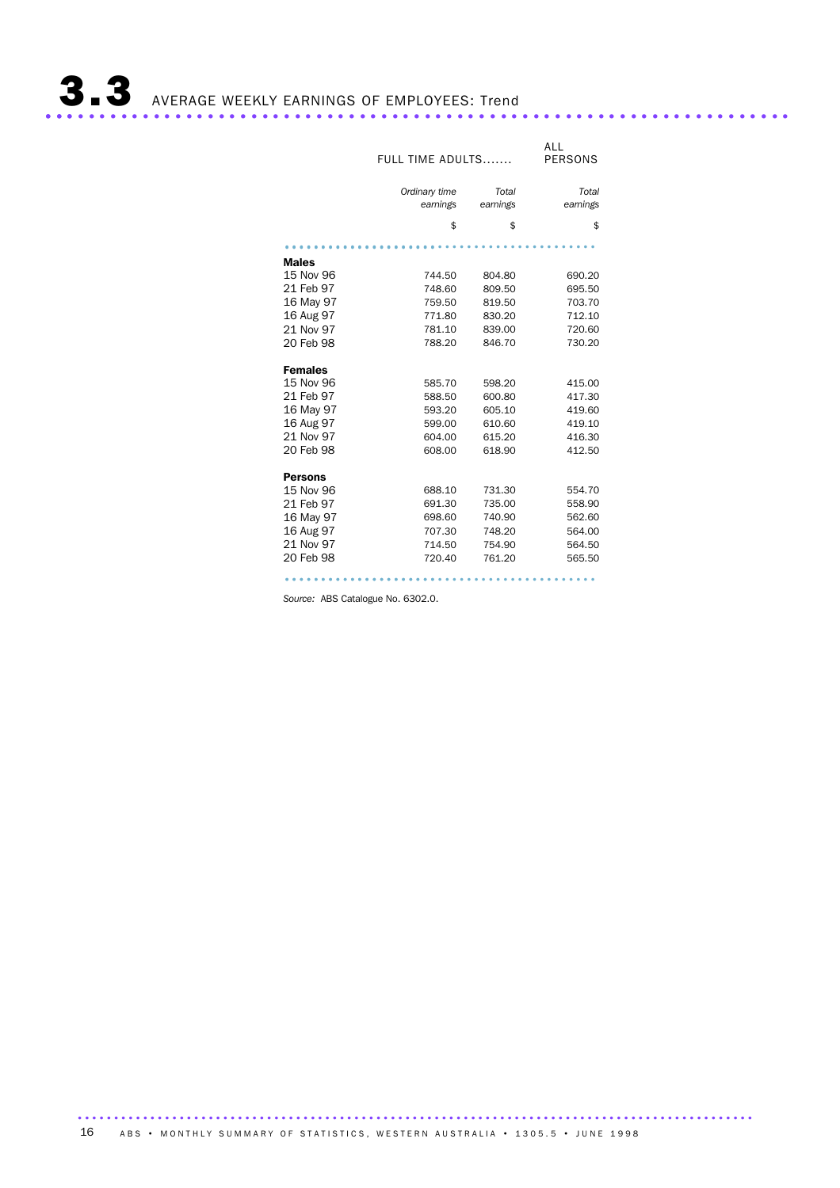|                | FULL TIME ADULTS          | <b>ALL</b><br><b>PERSONS</b> |                   |
|----------------|---------------------------|------------------------------|-------------------|
|                | Ordinary time<br>earnings | Total<br>earnings            | Total<br>earnings |
|                | \$                        | \$                           | \$                |
| <b>Males</b>   |                           |                              |                   |
| 15 Nov 96      | 744.50                    | 804.80                       | 690.20            |
| 21 Feb 97      | 748.60                    | 809.50                       | 695.50            |
| 16 May 97      | 759.50                    | 819.50                       | 703.70            |
| 16 Aug 97      | 771.80                    | 830.20                       | 712.10            |
| 21 Nov 97      | 781.10                    | 839.00                       | 720.60            |
| 20 Feb 98      | 788.20                    | 846.70                       | 730.20            |
| <b>Females</b> |                           |                              |                   |
| 15 Nov 96      | 585.70                    | 598.20                       | 415.00            |
| 21 Feb 97      | 588.50                    | 600.80                       | 417.30            |
| 16 May 97      | 593.20                    | 605.10                       | 419.60            |
| 16 Aug 97      | 599.00                    | 610.60                       | 419.10            |
| 21 Nov 97      | 604.00                    | 615.20                       | 416.30            |
| 20 Feb 98      | 608.00                    | 618.90                       | 412.50            |
| <b>Persons</b> |                           |                              |                   |
| 15 Nov 96      | 688.10                    | 731.30                       | 554.70            |
| 21 Feb 97      | 691.30                    | 735.00                       | 558.90            |
| 16 May 97      | 698.60                    | 740.90                       | 562.60            |
| 16 Aug 97      | 707.30                    | 748.20                       | 564.00            |
| 21 Nov 97      | 714.50                    | 754.90                       | 564.50            |
| 20 Feb 98      | 720.40                    | 761.20                       | 565.50            |

........................................... .....................

*Source:* ABS Catalogue No. 6302.0.

16 ABS • MONTHLY SUMMARY OF STATISTICS, WESTERN AUSTRALIA • 1305.5 • JUNE 1998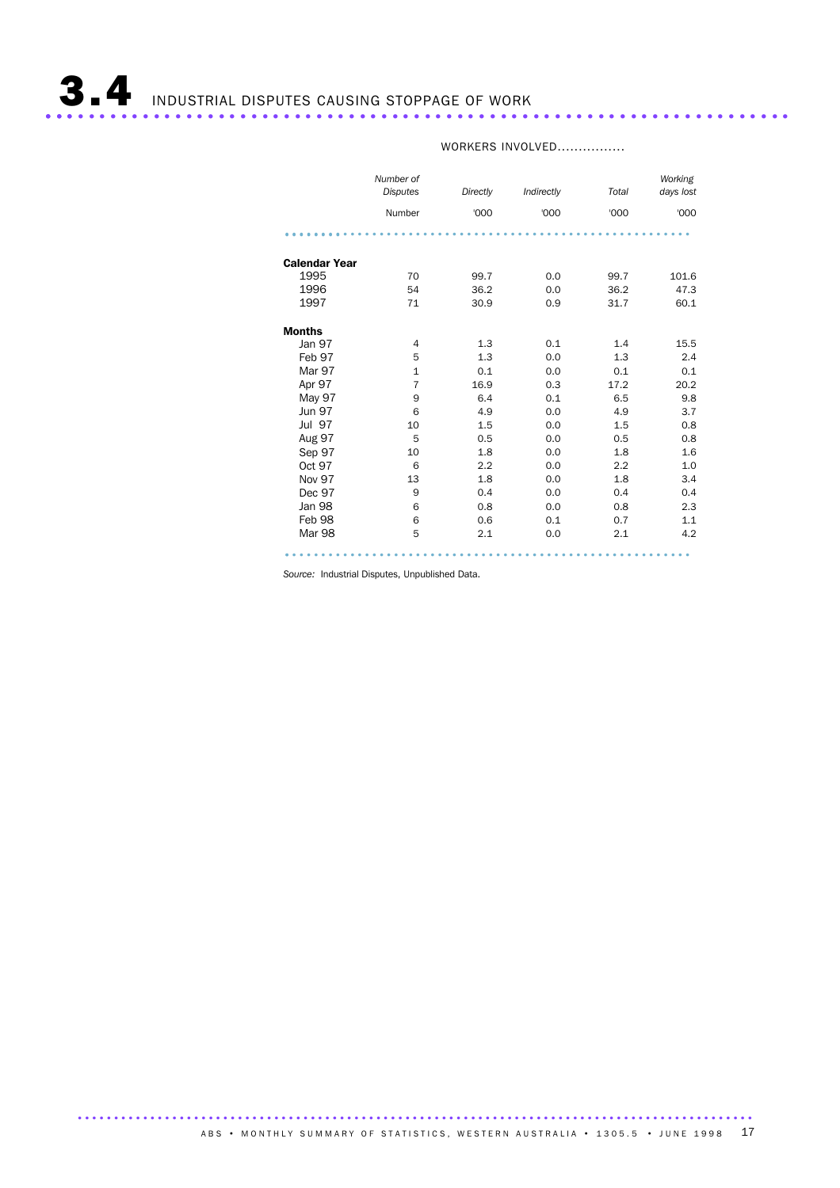3.4 INDUSTRIAL DISPUTES CAUSING STOPPAGE OF WORK ..............................

|                      | Number of<br><b>Disputes</b> | Directly | Indirectly | Total | Working<br>days lost |
|----------------------|------------------------------|----------|------------|-------|----------------------|
|                      | Number                       | '000     | '000       | '000  | '000                 |
|                      |                              |          |            |       |                      |
| <b>Calendar Year</b> |                              |          |            |       |                      |
| 1995                 | 70                           | 99.7     | 0.0        | 99.7  | 101.6                |
| 1996                 | 54                           | 36.2     | 0.0        | 36.2  | 47.3                 |
| 1997                 | 71                           | 30.9     | 0.9        | 31.7  | 60.1                 |
| <b>Months</b>        |                              |          |            |       |                      |
| Jan 97               | 4                            | 1.3      | 0.1        | 1.4   | 15.5                 |
| Feb 97               | 5                            | 1.3      | 0.0        | 1.3   | 2.4                  |
| Mar 97               | $\mathbf{1}$                 | 0.1      | 0.0        | 0.1   | 0.1                  |
| Apr 97               | $\overline{7}$               | 16.9     | 0.3        | 17.2  | 20.2                 |
| May 97               | 9                            | 6.4      | 0.1        | 6.5   | 9.8                  |
| <b>Jun 97</b>        | 6                            | 4.9      | 0.0        | 4.9   | 3.7                  |
| Jul 97               | 10                           | 1.5      | 0.0        | 1.5   | 0.8                  |
| <b>Aug 97</b>        | 5                            | 0.5      | 0.0        | 0.5   | 0.8                  |
| Sep 97               | 10                           | 1.8      | 0.0        | 1.8   | 1.6                  |
| Oct 97               | 6                            | 2.2      | 0.0        | 2.2   | 1.0                  |
| Nov 97               | 13                           | 1.8      | 0.0        | 1.8   | 3.4                  |
| Dec 97               | 9                            | 0.4      | 0.0        | 0.4   | 0.4                  |
| <b>Jan 98</b>        | 6                            | 0.8      | 0.0        | 0.8   | 2.3                  |
| Feb 98               | 6                            | 0.6      | 0.1        | 0.7   | 1.1                  |
| Mar 98               | 5                            | 2.1      | 0.0        | 2.1   | 4.2                  |
|                      |                              |          |            |       |                      |

#### WORKERS INVOLVED................

*Source:* Industrial Disputes, Unpublished Data.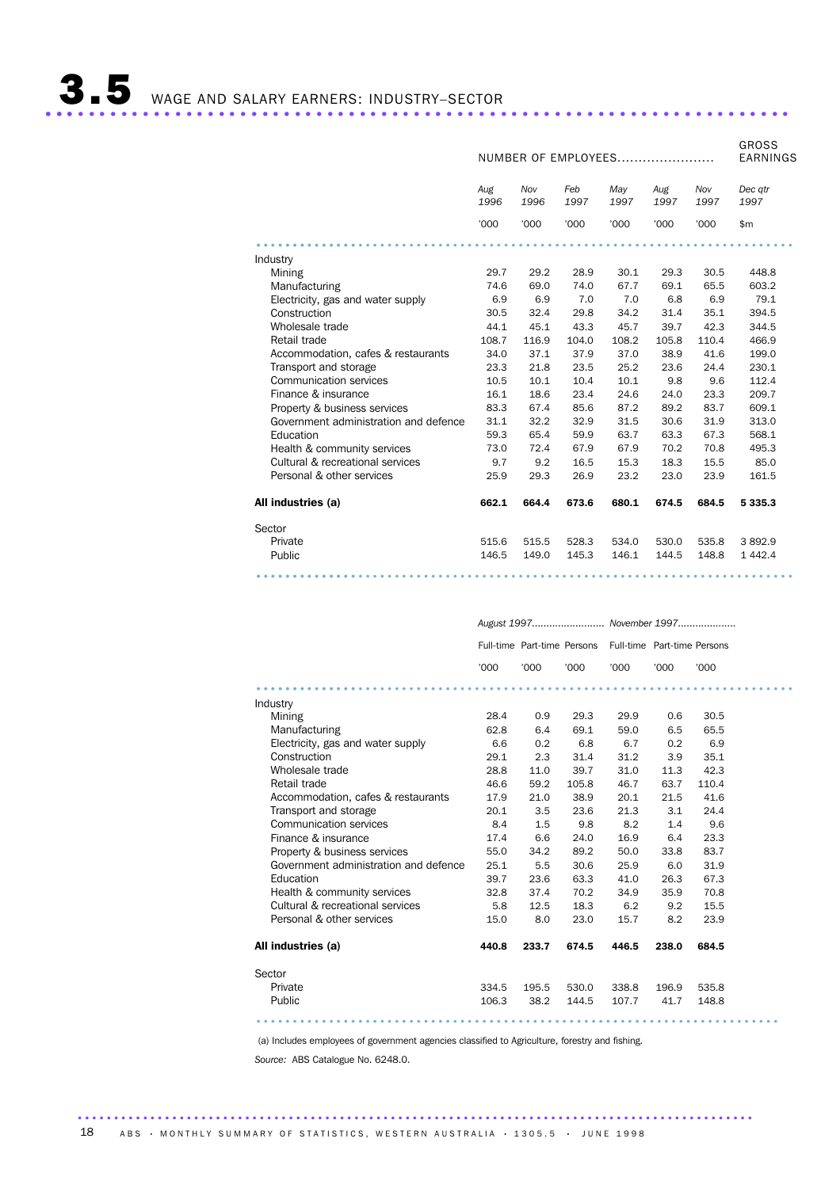|                                       | NUMBER OF EMPLOYEES |             |             |             | <b>GROSS</b><br><b>EARNINGS</b> |             |                 |
|---------------------------------------|---------------------|-------------|-------------|-------------|---------------------------------|-------------|-----------------|
|                                       | Aug<br>1996         | Nov<br>1996 | Feb<br>1997 | May<br>1997 | Aug<br>1997                     | Nov<br>1997 | Dec gtr<br>1997 |
|                                       | '000                | '000        | '000        | '000        | '000                            | '000        | \$m             |
|                                       |                     |             |             |             |                                 |             |                 |
| Industry                              |                     |             |             |             |                                 |             |                 |
| Mining                                | 29.7                | 29.2        | 28.9        | 30.1        | 29.3                            | 30.5        | 448.8           |
| Manufacturing                         | 74.6                | 69.0        | 74.0        | 67.7        | 69.1                            | 65.5        | 603.2           |
| Electricity, gas and water supply     | 6.9                 | 6.9         | 7.0         | 7.0         | 6.8                             | 6.9         | 79.1            |
| Construction                          | 30.5                | 32.4        | 29.8        | 34.2        | 31.4                            | 35.1        | 394.5           |
| Wholesale trade                       | 44.1                | 45.1        | 43.3        | 45.7        | 39.7                            | 42.3        | 344.5           |
| Retail trade                          | 108.7               | 116.9       | 104.0       | 108.2       | 105.8                           | 110.4       | 466.9           |
| Accommodation, cafes & restaurants    | 34.0                | 37.1        | 37.9        | 37.0        | 38.9                            | 41.6        | 199.0           |
| Transport and storage                 | 23.3                | 21.8        | 23.5        | 25.2        | 23.6                            | 24.4        | 230.1           |
| <b>Communication services</b>         | 10.5                | 10.1        | 10.4        | 10.1        | 9.8                             | 9.6         | 112.4           |
| Finance & insurance                   | 16.1                | 18.6        | 23.4        | 24.6        | 24.0                            | 23.3        | 209.7           |
| Property & business services          | 83.3                | 67.4        | 85.6        | 87.2        | 89.2                            | 83.7        | 609.1           |
| Government administration and defence | 31.1                | 32.2        | 32.9        | 31.5        | 30.6                            | 31.9        | 313.0           |
| Education                             | 59.3                | 65.4        | 59.9        | 63.7        | 63.3                            | 67.3        | 568.1           |
| Health & community services           | 73.0                | 72.4        | 67.9        | 67.9        | 70.2                            | 70.8        | 495.3           |
| Cultural & recreational services      | 9.7                 | 9.2         | 16.5        | 15.3        | 18.3                            | 15.5        | 85.0            |
| Personal & other services             | 25.9                | 29.3        | 26.9        | 23.2        | 23.0                            | 23.9        | 161.5           |
| All industries (a)                    | 662.1               | 664.4       | 673.6       | 680.1       | 674.5                           | 684.5       | 5 3 3 5 . 3     |
| Sector                                |                     |             |             |             |                                 |             |                 |
| Private                               | 515.6               | 515.5       | 528.3       | 534.0       | 530.0                           | 535.8       | 3892.9          |
| Public                                | 146.5               | 149.0       | 145.3       | 146.1       | 144.5                           | 148.8       | 1 4 4 2.4       |
|                                       |                     |             |             |             |                                 |             |                 |

|                                       |       |       |       |                                                         |       | August 1997 November 1997 |
|---------------------------------------|-------|-------|-------|---------------------------------------------------------|-------|---------------------------|
|                                       |       |       |       | Full-time Part-time Persons Full-time Part-time Persons |       |                           |
|                                       | '000  | '000  | '000  | '000                                                    | '000  | '000                      |
|                                       |       |       |       |                                                         |       |                           |
| Industry                              |       |       |       |                                                         |       |                           |
| Mining                                | 28.4  | 0.9   | 29.3  | 29.9                                                    | 0.6   | 30.5                      |
| Manufacturing                         | 62.8  | 6.4   | 69.1  | 59.0                                                    | 6.5   | 65.5                      |
| Electricity, gas and water supply     | 6.6   | 0.2   | 6.8   | 6.7                                                     | 0.2   | 6.9                       |
| Construction                          | 29.1  | 2.3   | 31.4  | 31.2                                                    | 3.9   | 35.1                      |
| Wholesale trade                       | 28.8  | 11.0  | 39.7  | 31.0                                                    | 11.3  | 42.3                      |
| Retail trade                          | 46.6  | 59.2  | 105.8 | 46.7                                                    | 63.7  | 110.4                     |
| Accommodation, cafes & restaurants    | 17.9  | 21.0  | 38.9  | 20.1                                                    | 21.5  | 41.6                      |
| Transport and storage                 | 20.1  | 3.5   | 23.6  | 21.3                                                    | 3.1   | 24.4                      |
| Communication services                | 8.4   | 1.5   | 9.8   | 8.2                                                     | 1.4   | 9.6                       |
| Finance & insurance                   | 17.4  | 6.6   | 24.0  | 16.9                                                    | 6.4   | 23.3                      |
| Property & business services          | 55.0  | 34.2  | 89.2  | 50.0                                                    | 33.8  | 83.7                      |
| Government administration and defence | 25.1  | 5.5   | 30.6  | 25.9                                                    | 6.0   | 31.9                      |
| Education                             | 39.7  | 23.6  | 63.3  | 41.0                                                    | 26.3  | 67.3                      |
| Health & community services           | 32.8  | 37.4  | 70.2  | 34.9                                                    | 35.9  | 70.8                      |
| Cultural & recreational services      | 5.8   | 12.5  | 18.3  | 6.2                                                     | 9.2   | 15.5                      |
| Personal & other services             | 15.0  | 8.0   | 23.0  | 15.7                                                    | 8.2   | 23.9                      |
| All industries (a)                    | 440.8 | 233.7 | 674.5 | 446.5                                                   | 238.0 | 684.5                     |
| Sector                                |       |       |       |                                                         |       |                           |
| Private                               | 334.5 | 195.5 | 530.0 | 338.8                                                   | 196.9 | 535.8                     |
| Public                                | 106.3 | 38.2  | 144.5 | 107.7                                                   | 41.7  | 148.8                     |
|                                       |       |       |       |                                                         |       |                           |

(a) Includes employees of government agencies classified to Agriculture, forestry and fishing.

.............................................................................................

*Source:* ABS Catalogue No. 6248.0.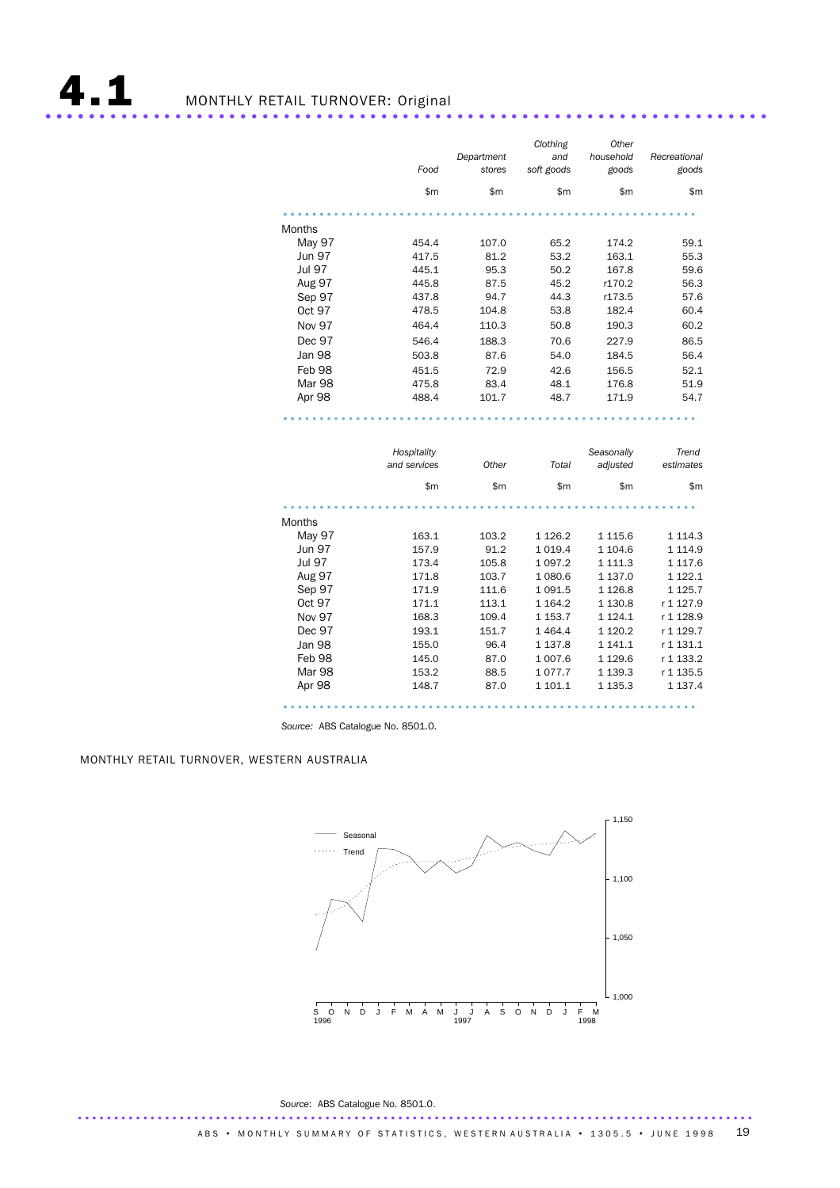4.1 MONTHLY RETAIL TURNOVER: Original ................................................................... .....

|               | Food         | Department<br>stores | Clothing<br>and<br>soft goods | Other<br>household<br>goods | Recreational<br>goods |
|---------------|--------------|----------------------|-------------------------------|-----------------------------|-----------------------|
|               | \$m          | \$m                  | \$m                           | \$m                         | \$m                   |
|               |              |                      |                               |                             |                       |
| Months        |              |                      |                               |                             |                       |
| May 97        | 454.4        | 107.0                | 65.2                          | 174.2                       | 59.1                  |
| <b>Jun 97</b> | 417.5        | 81.2                 | 53.2                          | 163.1                       | 55.3                  |
| Jul 97        | 445.1        | 95.3                 | 50.2                          | 167.8                       | 59.6                  |
| <b>Aug 97</b> | 445.8        | 87.5                 | 45.2                          | r170.2                      | 56.3                  |
| Sep 97        | 437.8        | 94.7                 | 44.3                          | r173.5                      | 57.6                  |
| Oct 97        | 478.5        | 104.8                | 53.8                          | 182.4                       | 60.4                  |
| Nov 97        | 464.4        | 110.3                | 50.8                          | 190.3                       | 60.2                  |
| Dec 97        | 546.4        | 188.3                | 70.6                          | 227.9                       | 86.5                  |
| Jan 98        | 503.8        | 87.6                 | 54.0                          | 184.5                       | 56.4                  |
| Feb 98        | 451.5        | 72.9                 | 42.6                          | 156.5                       | 52.1                  |
| Mar 98        | 475.8        | 83.4                 | 48.1                          | 176.8                       | 51.9                  |
| Apr 98        | 488.4        | 101.7                | 48.7                          | 171.9                       | 54.7                  |
|               |              |                      |                               |                             |                       |
|               | Hospitality  |                      |                               | Seasonally                  | Trend                 |
|               | and services | Other                | Total                         | adjusted                    | estimates             |
|               | \$m          | \$m\$                | \$m                           | \$m                         | \$m                   |
|               |              |                      |                               |                             |                       |
| <b>Months</b> |              |                      |                               |                             |                       |
| May 97        | 163.1        | 103.2                | 1 1 2 6 . 2                   | 1 1 1 5.6                   | 1 1 1 4 . 3           |
| Jun 97        | 157.9        | 91.2                 | 1 0 1 9.4                     | 1 104.6                     | 1 1 1 4.9             |
| Jul 97        | 173.4        | 105.8                | 1 097.2                       | 1 1 1 1 . 3                 | 1 1 1 7 . 6           |
| <b>Aug 97</b> | 171.8        | 103.7                | 1 080.6                       | 1 137.0                     | 1 1 2 2.1             |
| Sep 97        | 171.9        | 111.6                | 1091.5                        | 1 1 26.8                    | 1 1 2 5.7             |
| <b>Oct 97</b> | 171.1        | 113.1                | 1 164.2                       | 1 130.8                     | r 1 127.9             |
| Nov 97        | 168.3        | 109.4                | 1 153.7                       | 1 1 2 4 . 1                 | r 1 128.9             |
| Dec 97        | 193.1        | 151.7                | 1 4 64.4                      | 1 1 2 0.2                   | r 1 129.7             |
| Jan 98        | 155.0        | 96.4                 | 1 1 3 7 . 8                   | 1 141.1                     | r 1 131.1             |
| Feb 98        | 145.0        | 87.0                 | 1 007.6                       | 1 1 2 9.6                   | r 1 133.2             |
| Mar 98        | 153.2        | 88.5                 | 1077.7                        | 1 139.3                     | r 1 135.5             |
| Apr 98        | 148.7        | 87.0                 | 1 101.1                       | 1 1 3 5 . 3                 | 1 1 3 7 . 4           |
|               |              |                      |                               |                             |                       |

*Source:* ABS Catalogue No. 8501.0.

#### MONTHLY RETAIL TURNOVER, WESTERN AUSTRALIA



*Source*: ABS Catalogue No. 8501.0. .............................................................................................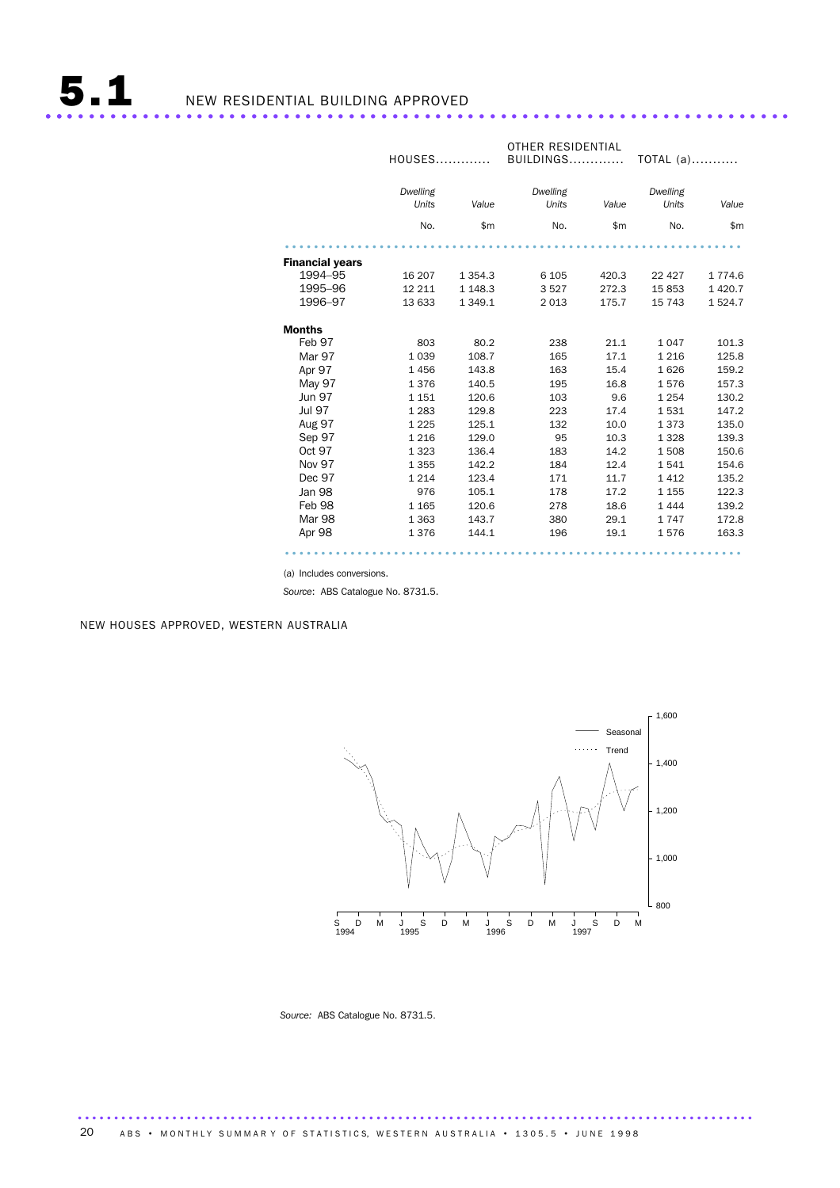5.1 NEW RESIDENTIAL BUILDING APPROVED ..................................................................... ...

|                        | <b>HOUSES</b>     |             | <b>OTHER RESIDENTIAL</b><br>BUILDINGS |       | TOTAL $(a)$       |             |
|------------------------|-------------------|-------------|---------------------------------------|-------|-------------------|-------------|
|                        | Dwelling<br>Units | Value       | Dwelling<br>Units                     | Value | Dwelling<br>Units | Value       |
|                        | No.               | \$m         | No.                                   | \$m\$ | No.               | \$m         |
| <b>Financial years</b> |                   |             |                                       |       |                   |             |
| 1994-95                | 16 207            | 1 3 5 4 . 3 | 6 1 0 5                               | 420.3 | 22 4 27           | 1 774.6     |
| 1995-96                | 12 211            | 1 1 48.3    | 3527                                  | 272.3 | 15853             | 1 4 2 0.7   |
| 1996-97                | 13 633            | 1 3 4 9.1   | 2013                                  | 175.7 | 15 7 43           | 1 5 2 4 . 7 |
| <b>Months</b>          |                   |             |                                       |       |                   |             |
| Feb 97                 | 803               | 80.2        | 238                                   | 21.1  | 1 0 4 7           | 101.3       |
| Mar 97                 | 1 0 3 9           | 108.7       | 165                                   | 17.1  | 1 2 1 6           | 125.8       |
| Apr 97                 | 1456              | 143.8       | 163                                   | 15.4  | 1626              | 159.2       |
| May 97                 | 1376              | 140.5       | 195                                   | 16.8  | 1576              | 157.3       |
| <b>Jun 97</b>          | 1 1 5 1           | 120.6       | 103                                   | 9.6   | 1 2 5 4           | 130.2       |
| <b>Jul 97</b>          | 1 2 8 3           | 129.8       | 223                                   | 17.4  | 1531              | 147.2       |
| Aug 97                 | 1 2 2 5           | 125.1       | 132                                   | 10.0  | 1373              | 135.0       |
| Sep 97                 | 1 2 1 6           | 129.0       | 95                                    | 10.3  | 1 3 2 8           | 139.3       |
| Oct 97                 | 1 3 2 3           | 136.4       | 183                                   | 14.2  | 1 508             | 150.6       |
| Nov 97                 | 1 3 5 5           | 142.2       | 184                                   | 12.4  | 1541              | 154.6       |
| Dec 97                 | 1 2 1 4           | 123.4       | 171                                   | 11.7  | 1412              | 135.2       |
| Jan 98                 | 976               | 105.1       | 178                                   | 17.2  | 1 1 5 5           | 122.3       |
| Feb 98                 | 1 1 6 5           | 120.6       | 278                                   | 18.6  | 1444              | 139.2       |
| Mar 98                 | 1 3 6 3           | 143.7       | 380                                   | 29.1  | 1747              | 172.8       |
| Apr 98                 | 1376              | 144.1       | 196                                   | 19.1  | 1576              | 163.3       |
|                        |                   |             |                                       |       |                   |             |

(a) Includes conversions.

*Source*: ABS Catalogue No. 8731.5.

NEW HOUSES APPROVED, WESTERN AUSTRALIA



*Source:* ABS Catalogue No. 8731.5.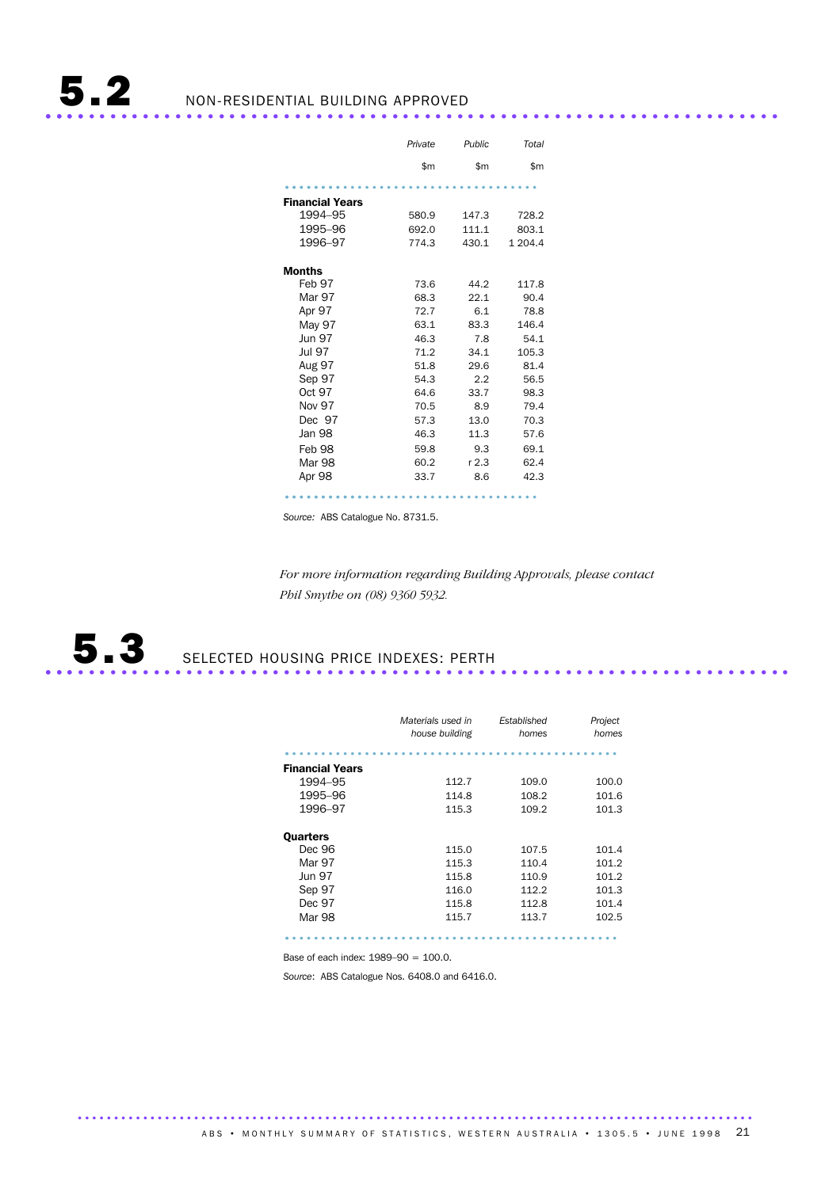|                        | Private | Public | Total   |
|------------------------|---------|--------|---------|
|                        | \$m     | \$m    | \$m     |
|                        |         |        |         |
| <b>Financial Years</b> |         |        |         |
| 1994–95                | 580.9   | 147.3  | 728.2   |
| 1995-96                | 692.0   | 111.1  | 803.1   |
| 1996-97                | 774.3   | 430.1  | 1 204.4 |
| Months                 |         |        |         |
| Feb 97                 | 73.6    | 44.2   | 117.8   |
| Mar 97                 | 68.3    | 22.1   | 90.4    |
|                        |         |        |         |
| Apr 97                 | 72.7    | 6.1    | 78.8    |
| May 97                 | 63.1    | 83.3   | 146.4   |
| <b>Jun 97</b>          | 46.3    | 7.8    | 54.1    |
| <b>Jul 97</b>          | 71.2    | 34.1   | 105.3   |
| <b>Aug 97</b>          | 51.8    | 29.6   | 81.4    |
| Sep 97                 | 54.3    | 2.2    | 56.5    |
| Oct 97                 | 64.6    | 33.7   | 98.3    |
| <b>Nov 97</b>          | 70.5    | 8.9    | 79.4    |
| Dec 97                 | 57.3    | 13.0   | 70.3    |
| Jan 98                 | 46.3    | 11.3   | 57.6    |
| Feb 98                 | 59.8    | 9.3    | 69.1    |
| Mar 98                 | 60.2    | r 2.3  | 62.4    |
| Apr 98                 | 33.7    | 8.6    | 42.3    |
|                        |         |        |         |

*Source:* ABS Catalogue No. 8731.5.

*For more information regarding Building Approvals, please contact Phil Smythe on (08) 9360 5932.*

5.3 SELECTED HOUSING PRICE INDEXES: PERTH ..................................................................... ...

|                        | Materials used in<br>house building | Established<br>homes | Project<br>homes |
|------------------------|-------------------------------------|----------------------|------------------|
|                        |                                     |                      |                  |
| <b>Financial Years</b> |                                     |                      |                  |
| 1994-95                | 112.7                               | 109.0                | 100.0            |
| 1995-96                | 114.8                               | 108.2                | 101.6            |
| 1996-97                | 115.3                               | 109.2                | 101.3            |
|                        |                                     |                      |                  |
| <b>Quarters</b>        |                                     |                      |                  |
| Dec 96                 | 115.0                               | 107.5                | 101.4            |
| Mar 97                 | 115.3                               | 110.4                | 101.2            |
| <b>Jun 97</b>          | 115.8                               | 110.9                | 101.2            |
| Sep 97                 | 116.0                               | 112.2                | 101.3            |
| Dec 97                 | 115.8                               | 112.8                | 101.4            |
| Mar 98                 | 115.7                               | 113.7                | 102.5            |

.............................................. .

Base of each index: 1989–90 = 100.0.

*Source*: ABS Catalogue Nos. 6408.0 and 6416.0.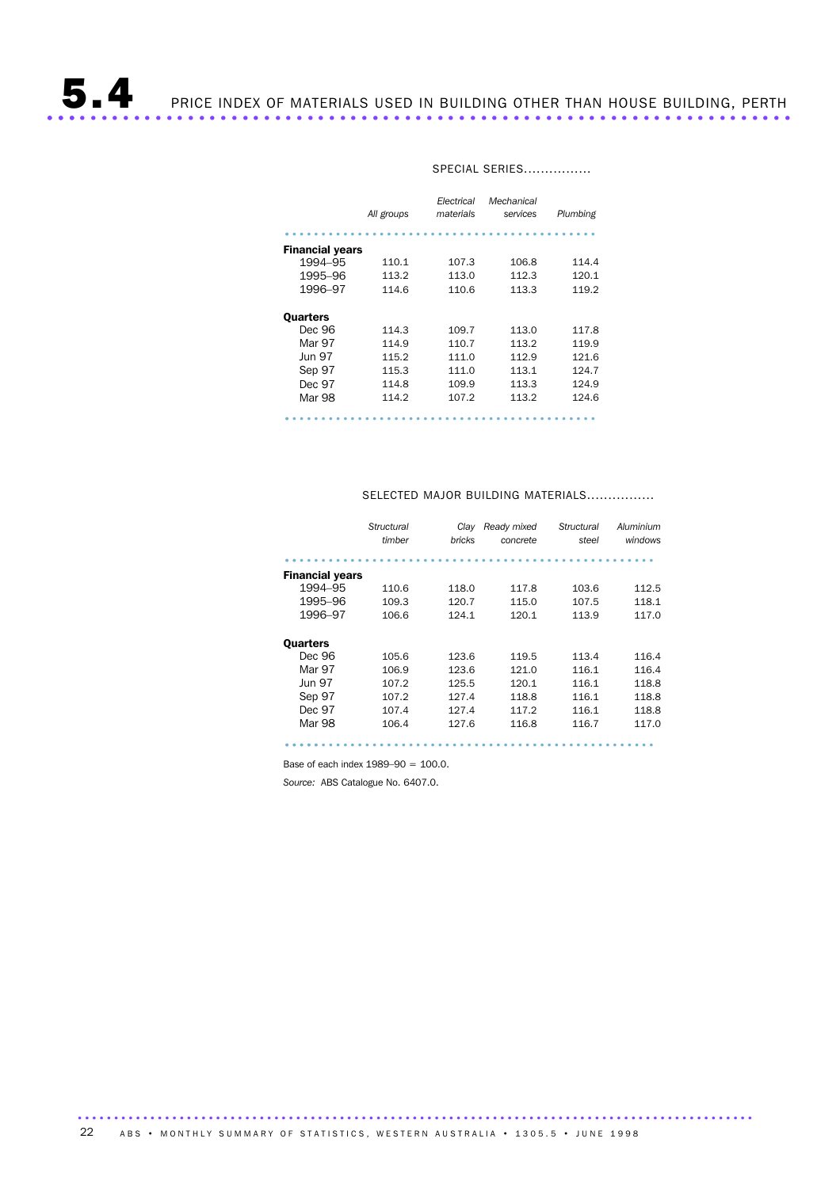#### SPECIAL SERIES................

|                        | All groups | Electrical<br>materials | Mechanical<br>services | Plumbing |
|------------------------|------------|-------------------------|------------------------|----------|
| <b>Financial years</b> |            |                         |                        |          |
| 1994-95                | 110.1      | 107.3                   | 106.8                  | 114.4    |
| 1995-96                | 113.2      | 113.0                   | 112.3                  | 120.1    |
| 1996-97                | 114.6      | 110.6                   | 113.3                  | 119.2    |
| Quarters<br>Dec 96     | 114.3      | 109.7                   | 113.0                  | 117.8    |
| Mar 97                 | 114.9      | 110.7                   | 113.2                  | 119.9    |
| Jun 97                 | 115.2      | 111.0                   | 112.9                  | 121.6    |
| Sep 97                 | 115.3      | 111.0                   | 113.1                  | 124.7    |
| Dec 97                 | 114.8      | 109.9                   | 113.3                  | 124.9    |
| Mar 98                 | 114.2      | 107.2                   | 113.2                  | 124.6    |
|                        |            |                         |                        |          |

#### SELECTED MAJOR BUILDING MATERIALS...............

|                        | Structural | Clay   | Ready mixed | Structural | Aluminium |
|------------------------|------------|--------|-------------|------------|-----------|
|                        | timber     | bricks | concrete    | steel      | windows   |
|                        |            |        |             |            |           |
| <b>Financial years</b> |            |        |             |            |           |
| 1994-95                | 110.6      | 118.0  | 117.8       | 103.6      | 112.5     |
| 1995-96                | 109.3      | 120.7  | 115.0       | 107.5      | 118.1     |
| 1996-97                | 106.6      | 124.1  | 120.1       | 113.9      | 117.0     |
|                        |            |        |             |            |           |
| Quarters               |            |        |             |            |           |
| Dec 96                 | 105.6      | 123.6  | 119.5       | 113.4      | 116.4     |
| Mar 97                 | 106.9      | 123.6  | 121.0       | 116.1      | 116.4     |
| <b>Jun 97</b>          | 107.2      | 125.5  | 120.1       | 116.1      | 118.8     |
| Sep 97                 | 107.2      | 127.4  | 118.8       | 116.1      | 118.8     |
| Dec 97                 | 107.4      | 127.4  | 117.2       | 116.1      | 118.8     |
| Mar 98                 | 106.4      | 127.6  | 116.8       | 116.7      | 117.0     |
|                        |            |        |             |            |           |

................................................... .....

Base of each index 1989–90 = 100.0.

*Source:* ABS Catalogue No. 6407.0.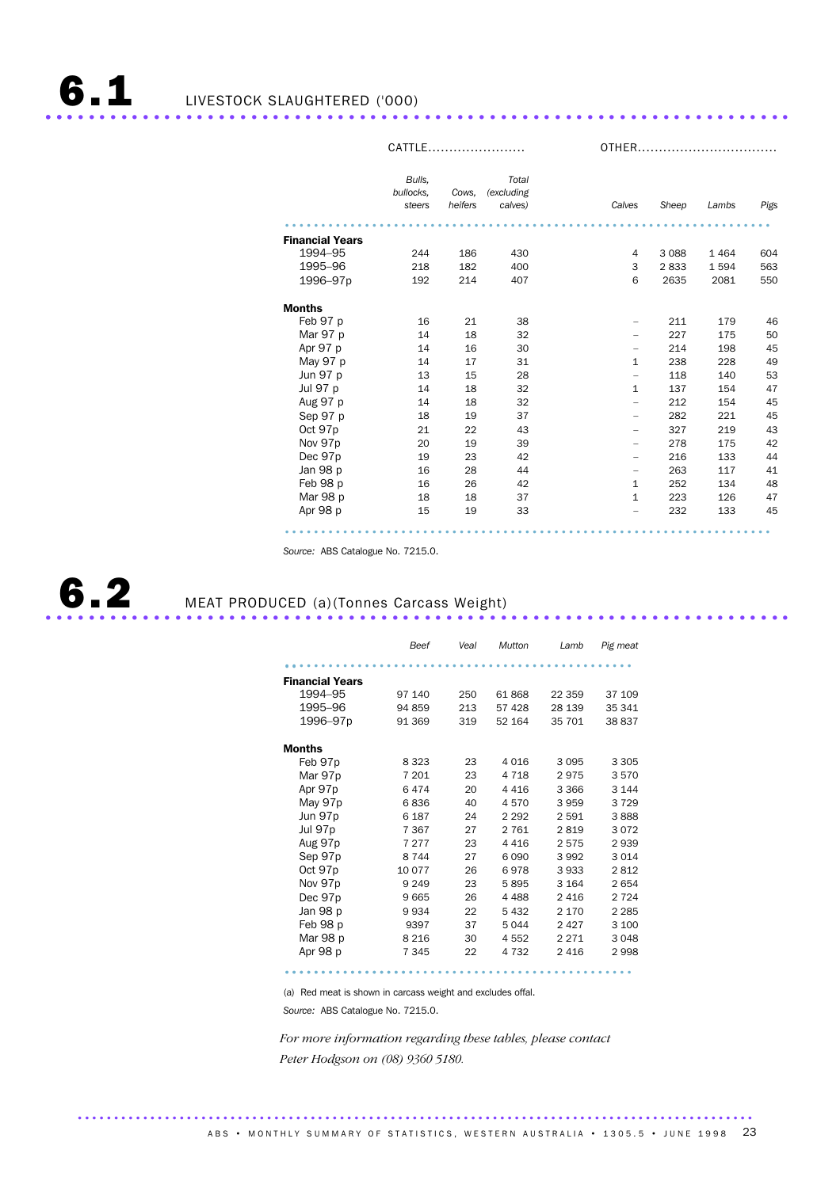|                                   |                     |         | CATTLE              |                          | OTHER   |         |      |  |
|-----------------------------------|---------------------|---------|---------------------|--------------------------|---------|---------|------|--|
|                                   | Bulls,<br>bullocks. | Cows.   | Total<br>(excluding |                          |         |         |      |  |
|                                   | steers              | heifers | calves)             | Calves                   | Sheep   | Lambs   | Pigs |  |
|                                   |                     |         |                     |                          |         |         |      |  |
| <b>Financial Years</b><br>1994-95 |                     | 186     | 430                 | 4                        | 3 0 8 8 | 1 4 6 4 | 604  |  |
| 1995-96                           | 244<br>218          | 182     | 400                 | 3                        | 2833    | 1594    | 563  |  |
| 1996-97p                          | 192                 | 214     | 407                 | 6                        | 2635    | 2081    | 550  |  |
|                                   |                     |         |                     |                          |         |         |      |  |
| <b>Months</b>                     |                     |         |                     |                          |         |         |      |  |
| Feb 97 p                          | 16                  | 21      | 38                  |                          | 211     | 179     | 46   |  |
| Mar 97 p                          | 14                  | 18      | 32                  |                          | 227     | 175     | 50   |  |
| Apr 97 p                          | 14                  | 16      | 30                  | $\overline{\phantom{m}}$ | 214     | 198     | 45   |  |
| May 97 p                          | 14                  | 17      | 31                  | $\mathbf{1}$             | 238     | 228     | 49   |  |
| Jun 97 p                          | 13                  | 15      | 28                  | $\overline{a}$           | 118     | 140     | 53   |  |
| Jul 97 p                          | 14                  | 18      | 32                  | $\mathbf{1}$             | 137     | 154     | 47   |  |
| Aug 97 p                          | 14                  | 18      | 32                  |                          | 212     | 154     | 45   |  |
| Sep 97 p                          | 18                  | 19      | 37                  |                          | 282     | 221     | 45   |  |
| Oct 97p                           | 21                  | 22      | 43                  |                          | 327     | 219     | 43   |  |
| Nov 97p                           | 20                  | 19      | 39                  | $\overline{a}$           | 278     | 175     | 42   |  |
| Dec 97p                           | 19                  | 23      | 42                  | -                        | 216     | 133     | 44   |  |
| Jan 98 p                          | 16                  | 28      | 44                  | $\overline{\phantom{m}}$ | 263     | 117     | 41   |  |
| Feb 98 p                          | 16                  | 26      | 42                  | $\mathbf{1}$             | 252     | 134     | 48   |  |
| Mar 98 p                          | 18                  | 18      | 37                  | $\mathbf{1}$             | 223     | 126     | 47   |  |
| Apr 98 p                          | 15                  | 19      | 33                  |                          | 232     | 133     | 45   |  |

*Source:* ABS Catalogue No. 7215.0.

# 6.2 MEAT PRODUCED (a)(Tonnes Carcass Weight) .....................................................................

|                        | Beef    | Veal | <b>Mutton</b> | Lamb    | Pig meat |
|------------------------|---------|------|---------------|---------|----------|
|                        |         |      |               |         |          |
| <b>Financial Years</b> |         |      |               |         |          |
| 1994–95                | 97 140  | 250  | 61868         | 22 359  | 37 109   |
| 1995-96                | 94 859  | 213  | 57 428        | 28 139  | 35 341   |
| 1996-97p               | 91 369  | 319  | 52 164        | 35 701  | 38 837   |
| Months                 |         |      |               |         |          |
| Feb 97p                | 8 3 2 3 | 23   | 4016          | 3095    | 3 3 0 5  |
| Mar 97p                | 7 201   | 23   | 4 7 1 8       | 2 975   | 3570     |
| Apr 97p                | 6474    | 20   | 4416          | 3 3 6 6 | 3 1 4 4  |
| May 97p                | 6836    | 40   | 4570          | 3959    | 3 7 2 9  |
| Jun 97p                | 6 1 8 7 | 24   | 2 2 9 2       | 2 5 9 1 | 3888     |
| Jul 97p                | 7 3 6 7 | 27   | 2 7 6 1       | 2819    | 3072     |
| Aug 97p                | 7 277   | 23   | 4416          | 2575    | 2939     |
| Sep 97p                | 8 7 4 4 | 27   | 6090          | 3992    | 3 0 1 4  |
| Oct 97p                | 10 077  | 26   | 6978          | 3933    | 2812     |
| Nov 97p                | 9 2 4 9 | 23   | 5895          | 3 1 6 4 | 2654     |
| Dec 97p                | 9665    | 26   | 4 4 8 8       | 2416    | 2 7 2 4  |
| Jan 98 p               | 9934    | 22   | 5432          | 2 1 7 0 | 2 2 8 5  |
| Feb 98 p               | 9397    | 37   | 5044          | 2427    | 3 100    |
| Mar 98 p               | 8 2 1 6 | 30   | 4552          | 2 2 7 1 | 3048     |
| Apr 98 p               | 7 345   | 22   | 4 7 3 2       | 2416    | 2998     |

................................................ ..................

(a) Red meat is shown in carcass weight and excludes offal.

.............................................................................................

*Source:* ABS Catalogue No. 7215.0.

*For more information regarding these tables, please contact Peter Hodgson on (08) 9360 5180.*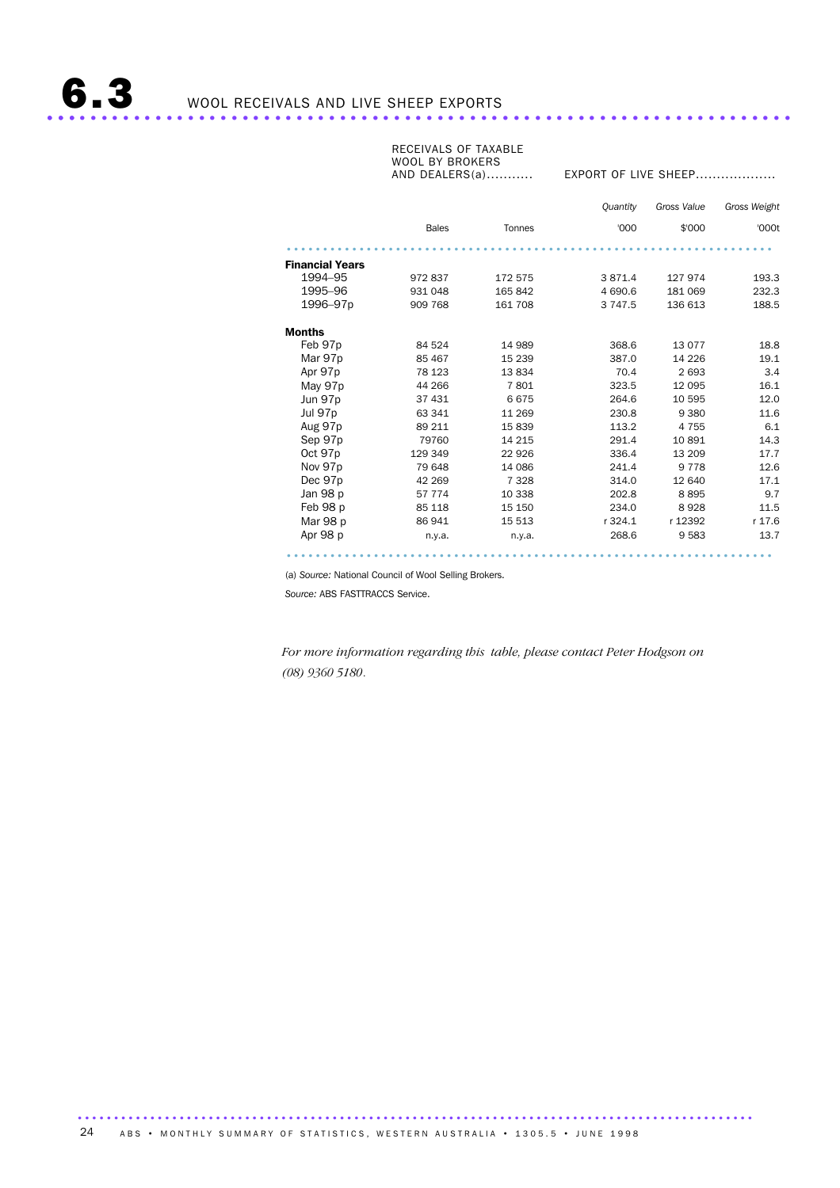| RECEIVALS OF TAXABLE |  |
|----------------------|--|
| WOOL BY BROKERS      |  |
| AND DEALERS(a)       |  |

**EXPORT OF LIVE SHEEP...................** 

|                        |              |         | <b>Quantity</b> | Gross Value | Gross Weight |
|------------------------|--------------|---------|-----------------|-------------|--------------|
|                        | <b>Bales</b> | Tonnes  | '000            | \$'000      | '000t        |
|                        |              |         |                 |             |              |
| <b>Financial Years</b> |              |         |                 |             |              |
| 1994-95                | 972837       | 172 575 | 3 871.4         | 127 974     | 193.3        |
| 1995-96                | 931 048      | 165 842 | 4 690.6         | 181 069     | 232.3        |
| 1996-97p               | 909 768      | 161 708 | 3 7 4 7 .5      | 136 613     | 188.5        |
| <b>Months</b>          |              |         |                 |             |              |
| Feb 97p                | 84 524       | 14 989  | 368.6           | 13 0 7 7    | 18.8         |
| Mar 97p                | 85 467       | 15 2 39 | 387.0           | 14 2 26     | 19.1         |
| Apr 97p                | 78 123       | 13834   | 70.4            | 2 6 9 3     | 3.4          |
| May 97p                | 44 266       | 7801    | 323.5           | 12 095      | 16.1         |
| Jun 97p                | 37 431       | 6675    | 264.6           | 10 595      | 12.0         |
| Jul 97p                | 63 341       | 11 269  | 230.8           | 9 3 8 0     | 11.6         |
| Aug 97p                | 89 211       | 15839   | 113.2           | 4 7 5 5     | 6.1          |
| Sep 97p                | 79760        | 14 2 15 | 291.4           | 10891       | 14.3         |
| Oct 97p                | 129 349      | 22 9 26 | 336.4           | 13 209      | 17.7         |
| Nov 97p                | 79 648       | 14 086  | 241.4           | 9 7 7 8     | 12.6         |
| Dec 97p                | 42 269       | 7 3 2 8 | 314.0           | 12 640      | 17.1         |
| Jan 98 p               | 57 774       | 10 338  | 202.8           | 8895        | 9.7          |
| Feb 98 p               | 85 118       | 15 150  | 234.0           | 8928        | 11.5         |
| Mar 98 p               | 86 941       | 15 513  | r 324.1         | r 12392     | r 17.6       |
| Apr 98 p               | n.y.a.       | n.y.a.  | 268.6           | 9583        | 13.7         |

(a) *Source:* National Council of Wool Selling Brokers.

*Source:* ABS FASTTRACCS Service.

*For more information regarding this table, please contact Peter Hodgson on (08) 9360 5180*.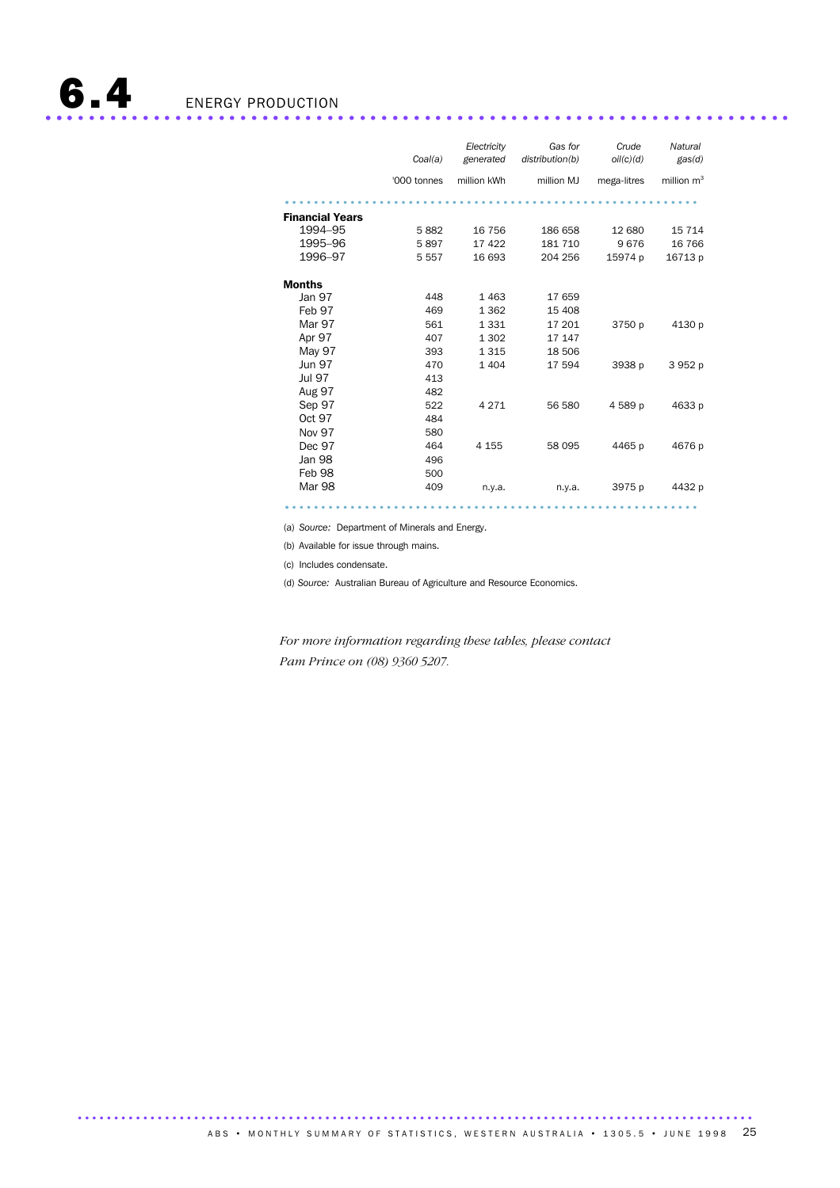|                        | Coal(a)     | Electricity<br>generated | Gas for<br>distribution(b) | Crude<br>oil(c)(d) | Natural<br>gas(d) |
|------------------------|-------------|--------------------------|----------------------------|--------------------|-------------------|
|                        | '000 tonnes | million kWh              | million MJ                 | mega-litres        | million $m3$      |
|                        |             |                          |                            |                    |                   |
| <b>Financial Years</b> |             |                          |                            |                    |                   |
| 1994-95                | 5882        | 16 756                   | 186 658                    | 12 680             | 15 7 14           |
| 1995-96                | 5897        | 17 422                   | 181 710                    | 9676               | 16 766            |
| 1996-97                | 5 5 5 7     | 16 693                   | 204 256                    | 15974 p            | 16713 p           |
| <b>Months</b>          |             |                          |                            |                    |                   |
| Jan 97                 | 448         | 1 4 6 3                  | 17659                      |                    |                   |
| Feb 97                 | 469         | 1 3 6 2                  | 15 408                     |                    |                   |
| Mar 97                 | 561         | 1 3 3 1                  | 17 201                     | 3750 p             | 4130 p            |
| Apr 97                 | 407         | 1 3 0 2                  | 17 147                     |                    |                   |
| May 97                 | 393         | 1 3 1 5                  | 18 506                     |                    |                   |
| <b>Jun 97</b>          | 470         | 1 4 0 4                  | 17 594                     | 3938 p             | 3952 p            |
| <b>Jul 97</b>          | 413         |                          |                            |                    |                   |
| <b>Aug 97</b>          | 482         |                          |                            |                    |                   |
| Sep 97                 | 522         | 4 2 7 1                  | 56 580                     | 4589p              | 4633 p            |
| Oct 97                 | 484         |                          |                            |                    |                   |
| <b>Nov 97</b>          | 580         |                          |                            |                    |                   |
| Dec 97                 | 464         | 4 1 5 5                  | 58 095                     | 4465 p             | 4676 p            |
| Jan 98                 | 496         |                          |                            |                    |                   |
| Feb 98                 | 500         |                          |                            |                    |                   |
| <b>Mar 98</b>          | 409         | n.y.a.                   | n.y.a.                     | 3975 p             | 4432 p            |
|                        |             |                          |                            |                    |                   |

(a) *Source:* Department of Minerals and Energy.

(b) Available for issue through mains.

(c) Includes condensate.

(d) *Source:* Australian Bureau of Agriculture and Resource Economics.

*For more information regarding these tables, please contact Pam Prince on (08) 9360 5207.*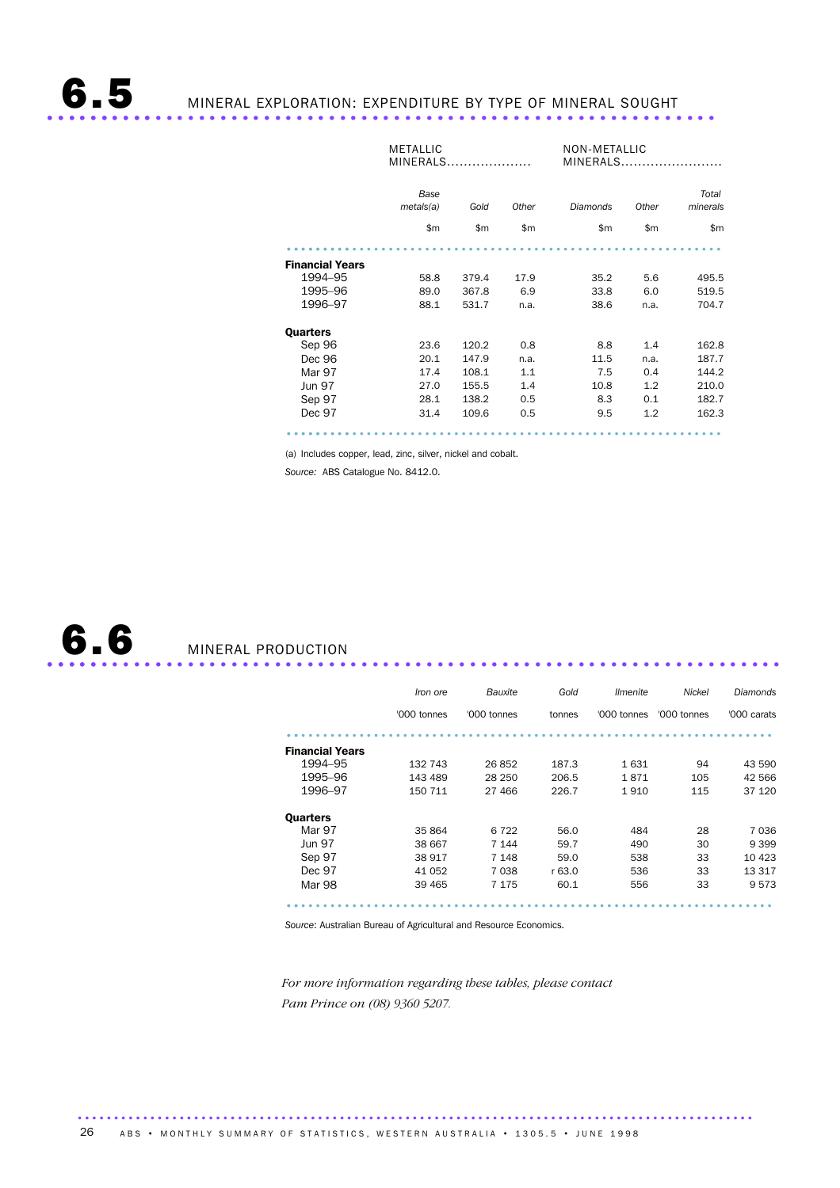## $\n **6.5.**\n **MINERAL EXPLORATION: EXPENDITIVE BY TYPE OF MINERAL SOLUTION**$

|                        | <b>METALLIC</b><br>MINERALS |       |       |          | NON-METALLIC<br>MINERALS |                   |  |
|------------------------|-----------------------------|-------|-------|----------|--------------------------|-------------------|--|
|                        | Base<br>metals(a)           | Gold  | Other | Diamonds | Other                    | Total<br>minerals |  |
|                        | \$m                         | \$m   | \$m   | \$m      | \$m                      | \$m               |  |
|                        |                             |       |       |          |                          |                   |  |
| <b>Financial Years</b> |                             |       |       |          |                          |                   |  |
| 1994-95                | 58.8                        | 379.4 | 17.9  | 35.2     | 5.6                      | 495.5             |  |
| 1995-96                | 89.0                        | 367.8 | 6.9   | 33.8     | 6.0                      | 519.5             |  |
| 1996-97                | 88.1                        | 531.7 | n.a.  | 38.6     | n.a.                     | 704.7             |  |
| <b>Quarters</b>        |                             |       |       |          |                          |                   |  |
| Sep 96                 | 23.6                        | 120.2 | 0.8   | 8.8      | 1.4                      | 162.8             |  |
| Dec 96                 | 20.1                        | 147.9 | n.a.  | 11.5     | n.a.                     | 187.7             |  |
| Mar 97                 | 17.4                        | 108.1 | 1.1   | 7.5      | 0.4                      | 144.2             |  |
| <b>Jun 97</b>          | 27.0                        | 155.5 | 1.4   | 10.8     | 1.2                      | 210.0             |  |
| Sep 97                 | 28.1                        | 138.2 | 0.5   | 8.3      | 0.1                      | 182.7             |  |
| Dec 97                 | 31.4                        | 109.6 | 0.5   | 9.5      | 1.2                      | 162.3             |  |
|                        |                             |       |       |          |                          | .                 |  |

(a) Includes copper, lead, zinc, silver, nickel and cobalt.

*Source:* ABS Catalogue No. 8412.0.



|                        | <i>Iron</i> ore | Bauxite     | Gold   | <i><u><b>Ilmenite</b></u></i> | Nickel      | Diamonds    |
|------------------------|-----------------|-------------|--------|-------------------------------|-------------|-------------|
|                        | '000 tonnes     | '000 tonnes | tonnes | '000 tonnes                   | '000 tonnes | '000 carats |
|                        |                 |             |        |                               |             |             |
| <b>Financial Years</b> |                 |             |        |                               |             |             |
| 1994-95                | 132 743         | 26852       | 187.3  | 1631                          | 94          | 43 590      |
| 1995-96                | 143 489         | 28 250      | 206.5  | 1871                          | 105         | 42 566      |
| 1996-97                | 150 711         | 27 466      | 226.7  | 1 910                         | 115         | 37 1 20     |
| Quarters               |                 |             |        |                               |             |             |
| Mar 97                 | 35 864          | 6 7 2 2     | 56.0   | 484                           | 28          | 7 0 3 6     |
| <b>Jun 97</b>          | 38 667          | 7 1 4 4     | 59.7   | 490                           | 30          | 9 3 9 9     |
| Sep 97                 | 38 917          | 7 1 4 8     | 59.0   | 538                           | 33          | 10 423      |
| Dec 97                 | 41 052          | 7 0 3 8     | r 63.0 | 536                           | 33          | 13317       |
| Mar 98                 | 39 4 65         | 7 1 7 5     | 60.1   | 556                           | 33          | 9573        |
|                        |                 |             |        |                               |             |             |

*Source*: Australian Bureau of Agricultural and Resource Economics.

.............................................................................................

*For more information regarding these tables, please contact Pam Prince on (08) 9360 5207.*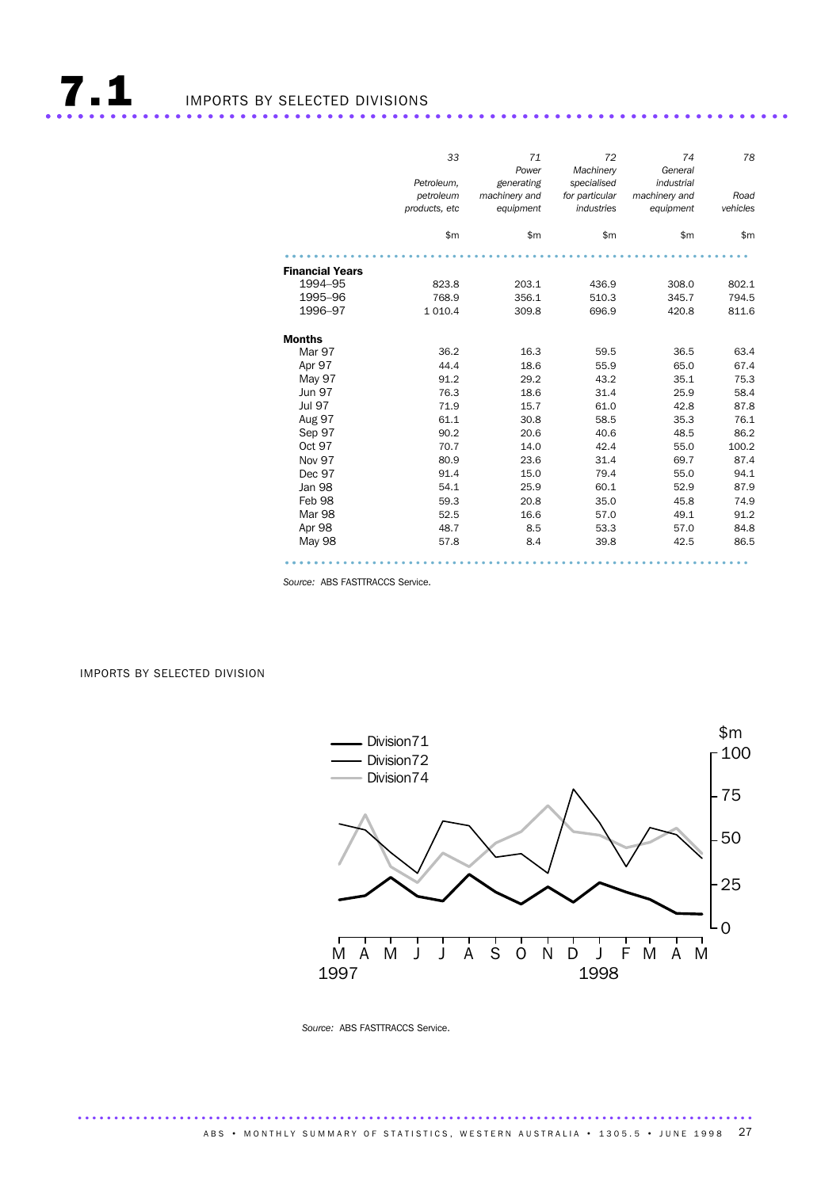|                        | 33<br>Petroleum.<br>petroleum<br>products, etc | 71<br>Power<br>generating<br>machinery and<br>equipment | 72<br>Machinery<br>specialised<br>for particular<br>industries | 74<br>General<br>industrial<br>machinery and<br>equipment | 78<br>Road<br>vehicles |
|------------------------|------------------------------------------------|---------------------------------------------------------|----------------------------------------------------------------|-----------------------------------------------------------|------------------------|
|                        | \$m                                            | \$m                                                     | \$m                                                            | $\mathsf{m}$                                              | \$m\$                  |
| <b>Financial Years</b> |                                                |                                                         |                                                                |                                                           |                        |
| 1994-95                | 823.8                                          | 203.1                                                   | 436.9                                                          | 308.0                                                     | 802.1                  |
| 1995-96                | 768.9                                          | 356.1                                                   | 510.3                                                          | 345.7                                                     | 794.5                  |
| 1996-97                | 1 0 1 0.4                                      | 309.8                                                   | 696.9                                                          | 420.8                                                     | 811.6                  |
| <b>Months</b>          |                                                |                                                         |                                                                |                                                           |                        |
| Mar 97                 | 36.2                                           | 16.3                                                    | 59.5                                                           | 36.5                                                      | 63.4                   |
| Apr 97                 | 44.4                                           | 18.6                                                    | 55.9                                                           | 65.0                                                      | 67.4                   |
| May 97                 | 91.2                                           | 29.2                                                    | 43.2                                                           | 35.1                                                      | 75.3                   |
| <b>Jun 97</b>          | 76.3                                           | 18.6                                                    | 31.4                                                           | 25.9                                                      | 58.4                   |
| Jul 97                 | 71.9                                           | 15.7                                                    | 61.0                                                           | 42.8                                                      | 87.8                   |
| <b>Aug 97</b>          | 61.1                                           | 30.8                                                    | 58.5                                                           | 35.3                                                      | 76.1                   |
| Sep 97                 | 90.2                                           | 20.6                                                    | 40.6                                                           | 48.5                                                      | 86.2                   |
| Oct 97                 | 70.7                                           | 14.0                                                    | 42.4                                                           | 55.0                                                      | 100.2                  |
| Nov 97                 | 80.9                                           | 23.6                                                    | 31.4                                                           | 69.7                                                      | 87.4                   |
| Dec 97                 | 91.4                                           | 15.0                                                    | 79.4                                                           | 55.0                                                      | 94.1                   |
| <b>Jan 98</b>          | 54.1                                           | 25.9                                                    | 60.1                                                           | 52.9                                                      | 87.9                   |
| Feb 98                 | 59.3                                           | 20.8                                                    | 35.0                                                           | 45.8                                                      | 74.9                   |
| Mar 98                 | 52.5                                           | 16.6                                                    | 57.0                                                           | 49.1                                                      | 91.2                   |
| Apr 98                 | 48.7                                           | 8.5                                                     | 53.3                                                           | 57.0                                                      | 84.8                   |
| <b>May 98</b>          | 57.8                                           | 8.4                                                     | 39.8                                                           | 42.5                                                      | 86.5                   |
|                        |                                                |                                                         |                                                                |                                                           |                        |

*Source:* ABS FASTTRACCS Service.

IMPORTS BY SELECTED DIVISION



 *Source:* ABS FASTTRACCS Service.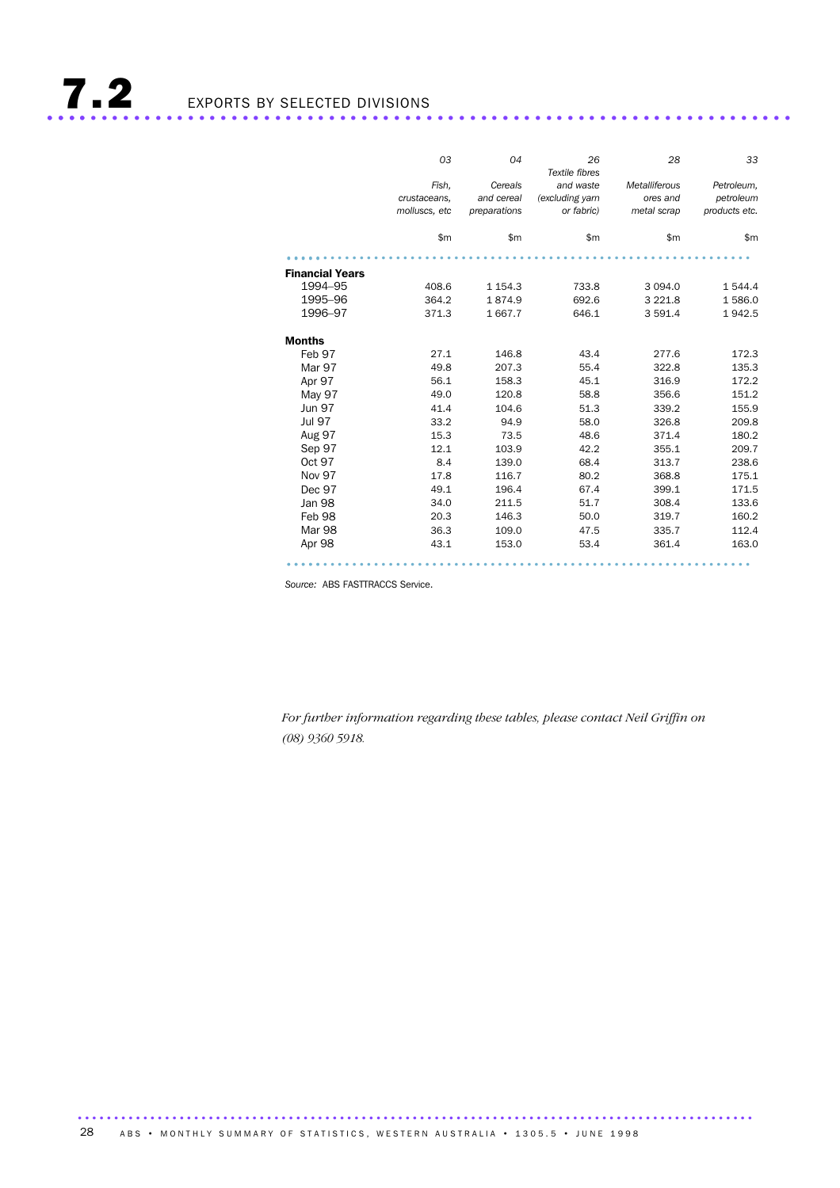# 7.2 EXPORTS BY SELECTED DIVISIONS ..................................................................... ....

|                        | 03            | 04           | 26<br>Textile fibres | 28                   | 33            |
|------------------------|---------------|--------------|----------------------|----------------------|---------------|
|                        | Fish,         | Cereals      | and waste            | <b>Metalliferous</b> | Petroleum.    |
|                        | crustaceans,  | and cereal   | (excluding yarn      | ores and             | petroleum     |
|                        | molluscs, etc | preparations | or fabric)           | metal scrap          | products etc. |
|                        | \$m           | \$m          | \$m                  | \$m                  | \$m           |
|                        |               |              |                      |                      |               |
| <b>Financial Years</b> |               |              |                      |                      |               |
| 1994-95                | 408.6         | 1 1 5 4 . 3  | 733.8                | 3 0 9 4 .0           | 1544.4        |
| 1995-96                | 364.2         | 1874.9       | 692.6                | 3 2 2 1.8            | 1586.0        |
| 1996-97                | 371.3         | 1667.7       | 646.1                | 3 5 9 1.4            | 1942.5        |
| <b>Months</b>          |               |              |                      |                      |               |
| Feb 97                 | 27.1          | 146.8        | 43.4                 | 277.6                | 172.3         |
| Mar 97                 | 49.8          | 207.3        | 55.4                 | 322.8                | 135.3         |
| Apr 97                 | 56.1          | 158.3        | 45.1                 | 316.9                | 172.2         |
| May 97                 | 49.0          | 120.8        | 58.8                 | 356.6                | 151.2         |
| <b>Jun 97</b>          | 41.4          | 104.6        | 51.3                 | 339.2                | 155.9         |
| <b>Jul 97</b>          | 33.2          | 94.9         | 58.0                 | 326.8                | 209.8         |
| <b>Aug 97</b>          | 15.3          | 73.5         | 48.6                 | 371.4                | 180.2         |
| Sep 97                 | 12.1          | 103.9        | 42.2                 | 355.1                | 209.7         |
| Oct 97                 | 8.4           | 139.0        | 68.4                 | 313.7                | 238.6         |
| <b>Nov 97</b>          | 17.8          | 116.7        | 80.2                 | 368.8                | 175.1         |
| Dec 97                 | 49.1          | 196.4        | 67.4                 | 399.1                | 171.5         |
| <b>Jan 98</b>          | 34.0          | 211.5        | 51.7                 | 308.4                | 133.6         |
| Feb 98                 | 20.3          | 146.3        | 50.0                 | 319.7                | 160.2         |
| Mar 98                 | 36.3          | 109.0        | 47.5                 | 335.7                | 112.4         |
| Apr 98                 | 43.1          | 153.0        | 53.4                 | 361.4                | 163.0         |

*Source:* ABS FASTTRACCS Service.

*For further information regarding these tables, please contact Neil Griffin on (08) 9360 5918.*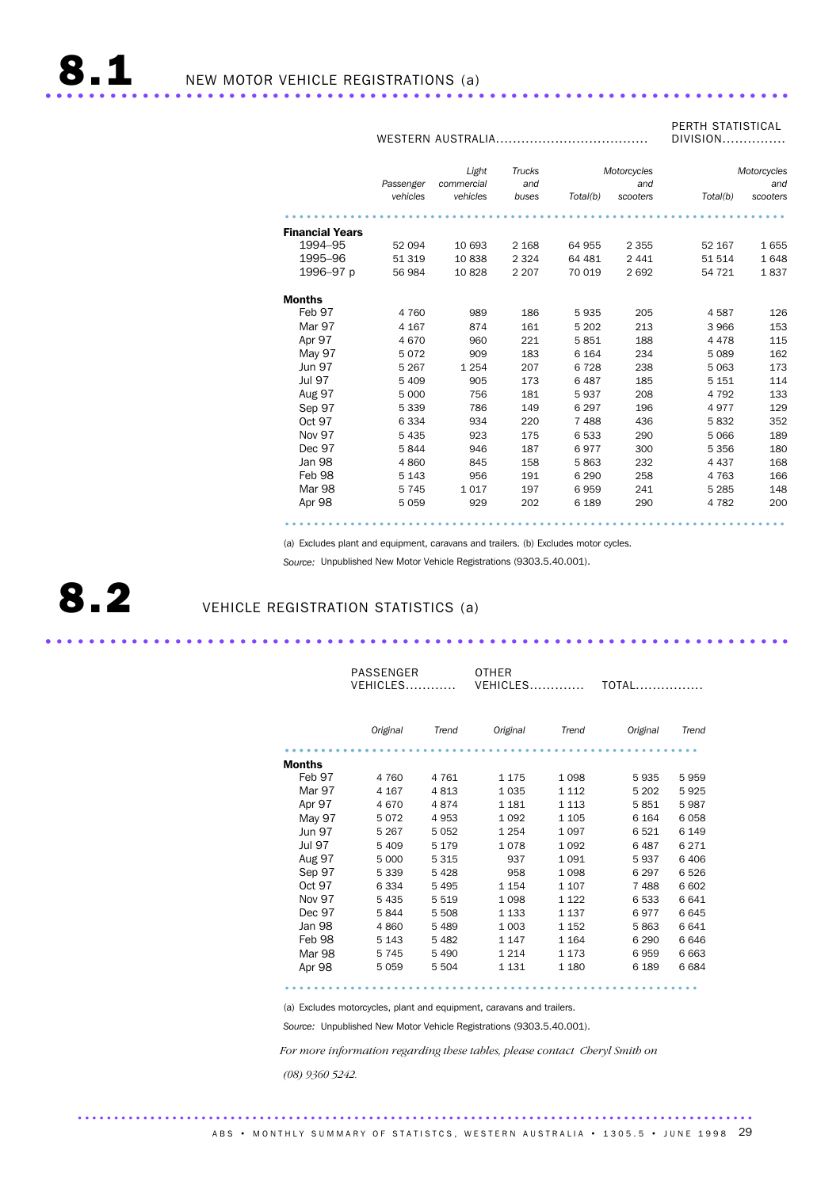

#### WESTERN AUSTRALIA....................................

PERTH STATISTICAL DIVISION...............

|                        | Passenger<br>vehicles | Light<br>commercial<br>vehicles | <b>Trucks</b><br>and<br>buses | Total(b) | Motorcycles<br>and<br>scooters | Total(b) | Motorcycles<br>and<br>scooters |
|------------------------|-----------------------|---------------------------------|-------------------------------|----------|--------------------------------|----------|--------------------------------|
| <b>Financial Years</b> |                       |                                 |                               |          |                                |          |                                |
| 1994-95                | 52 094                | 10 693                          | 2 1 6 8                       | 64 955   | 2 3 5 5                        | 52 167   | 1655                           |
| 1995-96                | 51 319                | 10838                           | 2 3 2 4                       | 64 481   | 2 4 4 1                        | 51 514   | 1648                           |
| 1996-97 p              | 56 984                | 10 828                          | 2 2 0 7                       | 70 019   | 2692                           | 54 721   | 1837                           |
| <b>Months</b>          |                       |                                 |                               |          |                                |          |                                |
| Feb 97                 | 4 760                 | 989                             | 186                           | 5935     | 205                            | 4587     | 126                            |
| Mar 97                 | 4 1 6 7               | 874                             | 161                           | 5 2 0 2  | 213                            | 3966     | 153                            |
| Apr 97                 | 4670                  | 960                             | 221                           | 5851     | 188                            | 4478     | 115                            |
| May 97                 | 5072                  | 909                             | 183                           | 6 1 6 4  | 234                            | 5 0 8 9  | 162                            |
| <b>Jun 97</b>          | 5 2 6 7               | 1 2 5 4                         | 207                           | 6728     | 238                            | 5 0 6 3  | 173                            |
| Jul 97                 | 5 4 0 9               | 905                             | 173                           | 6487     | 185                            | 5 1 5 1  | 114                            |
| <b>Aug 97</b>          | 5 0 0 0               | 756                             | 181                           | 5937     | 208                            | 4 7 9 2  | 133                            |
| Sep 97                 | 5 3 3 9               | 786                             | 149                           | 6 2 9 7  | 196                            | 4977     | 129                            |
| Oct 97                 | 6 3 3 4               | 934                             | 220                           | 7488     | 436                            | 5832     | 352                            |
| Nov 97                 | 5 4 3 5               | 923                             | 175                           | 6533     | 290                            | 5 0 6 6  | 189                            |
| Dec 97                 | 5844                  | 946                             | 187                           | 6977     | 300                            | 5 3 5 6  | 180                            |
| Jan 98                 | 4860                  | 845                             | 158                           | 5863     | 232                            | 4 4 3 7  | 168                            |
| Feb 98                 | 5 1 4 3               | 956                             | 191                           | 6 2 9 0  | 258                            | 4 7 6 3  | 166                            |
| Mar 98                 | 5745                  | 1017                            | 197                           | 6959     | 241                            | 5 2 8 5  | 148                            |
| Apr 98                 | 5 0 5 9               | 929                             | 202                           | 6 189    | 290                            | 4 7 8 2  | 200                            |
|                        |                       |                                 |                               |          |                                |          |                                |

.....................................................................

(a) Excludes plant and equipment, caravans and trailers. (b) Excludes motor cycles.

*Source:* Unpublished New Motor Vehicle Registrations (9303.5.40.001).

# ..................................................................... .

## 8.2 **VEHICLE REGISTRATION STATISTICS** (a)

| PASSENGER | <b>OTHER</b> |
|-----------|--------------|
| VEHICLES  | VEHICLES     |

VEHICLES............. TOTAL................

|               | Original | Trend   | Original | Trend   | Original | Trend   |
|---------------|----------|---------|----------|---------|----------|---------|
| Months        |          |         |          |         |          |         |
| Feb 97        | 4 7 6 0  | 4 7 6 1 | 1 175    | 1098    | 5935     | 5959    |
| Mar 97        | 4 167    | 4813    | 1035     | 1 1 1 2 | 5 2 0 2  | 5925    |
| Apr 97        | 4670     | 4874    | 1 1 8 1  | 1 1 1 3 | 5851     | 5987    |
| May 97        | 5072     | 4953    | 1092     | 1 1 0 5 | 6 1 6 4  | 6058    |
| <b>Jun 97</b> | 5 2 6 7  | 5 0 5 2 | 1 2 5 4  | 1097    | 6521     | 6 1 4 9 |
| Jul 97        | 5 4 0 9  | 5 1 7 9 | 1078     | 1092    | 6487     | 6 2 7 1 |
| <b>Aug 97</b> | 5 0 0 0  | 5 3 1 5 | 937      | 1091    | 5937     | 6406    |
| Sep 97        | 5 3 3 9  | 5428    | 958      | 1098    | 6 2 9 7  | 6526    |
| Oct 97        | 6 3 3 4  | 5 4 9 5 | 1 1 5 4  | 1 1 0 7 | 7488     | 6 602   |
| <b>Nov 97</b> | 5 4 3 5  | 5 5 1 9 | 1098     | 1 1 2 2 | 6 5 3 3  | 6641    |
| Dec 97        | 5844     | 5 508   | 1 133    | 1 137   | 6977     | 6 645   |
| Jan 98        | 4860     | 5 4 8 9 | 1 0 0 3  | 1 1 5 2 | 5863     | 6641    |
| Feb 98        | 5 1 4 3  | 5 4 8 2 | 1 1 4 7  | 1 1 6 4 | 6 2 9 0  | 6646    |
| Mar 98        | 5 7 4 5  | 5 4 9 0 | 1 2 1 4  | 1 173   | 6959     | 6 6 6 3 |
| Apr 98        | 5 0 5 9  | 5 5 0 4 | 1 1 3 1  | 1 1 8 0 | 6 189    | 6684    |
|               |          |         |          |         |          |         |

.........................................................

(a) Excludes motorcycles, plant and equipment, caravans and trailers.

*Source:* Unpublished New Motor Vehicle Registrations (9303.5.40.001).

*For more information regarding these tables, please contact Cheryl Smith on*

 *(08) 9360 5242.*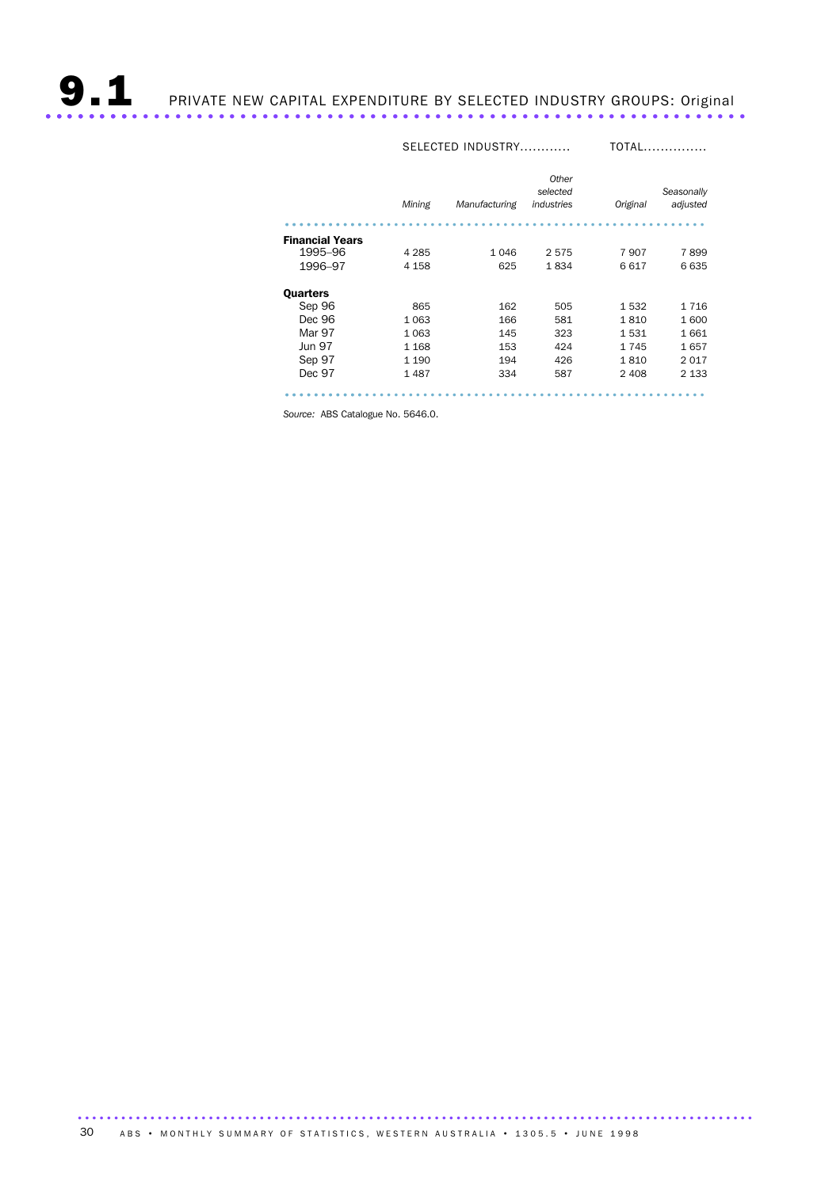|                        | Mining  | Manufacturing | Other<br>selected<br>industries | Original | Seasonally<br>adjusted |
|------------------------|---------|---------------|---------------------------------|----------|------------------------|
| <b>Financial Years</b> |         |               |                                 |          |                        |
| 1995–96                | 4 2 8 5 | 1046          | 2575                            | 7907     | 7899                   |
| 1996-97                | 4 1 5 8 | 625           | 1834                            | 6617     | 6635                   |
| <b>Quarters</b>        |         |               |                                 |          |                        |
| Sep 96                 | 865     | 162           | 505                             | 1532     | 1 7 1 6                |
| Dec 96                 | 1 0 6 3 | 166           | 581                             | 1810     | 1600                   |
| Mar 97                 | 1 0 6 3 | 145           | 323                             | 1531     | 1661                   |
| <b>Jun 97</b>          | 1 1 6 8 | 153           | 424                             | 1 745    | 1657                   |
| Sep 97                 | 1 1 9 0 | 194           | 426                             | 1810     | 2017                   |
| Dec 97                 | 1487    | 334           | 587                             | 2 4 0 8  | 2 1 3 3                |
|                        |         |               |                                 |          |                        |

SELECTED INDUSTRY............ TOTAL...............

*Source:* ABS Catalogue No. 5646.0.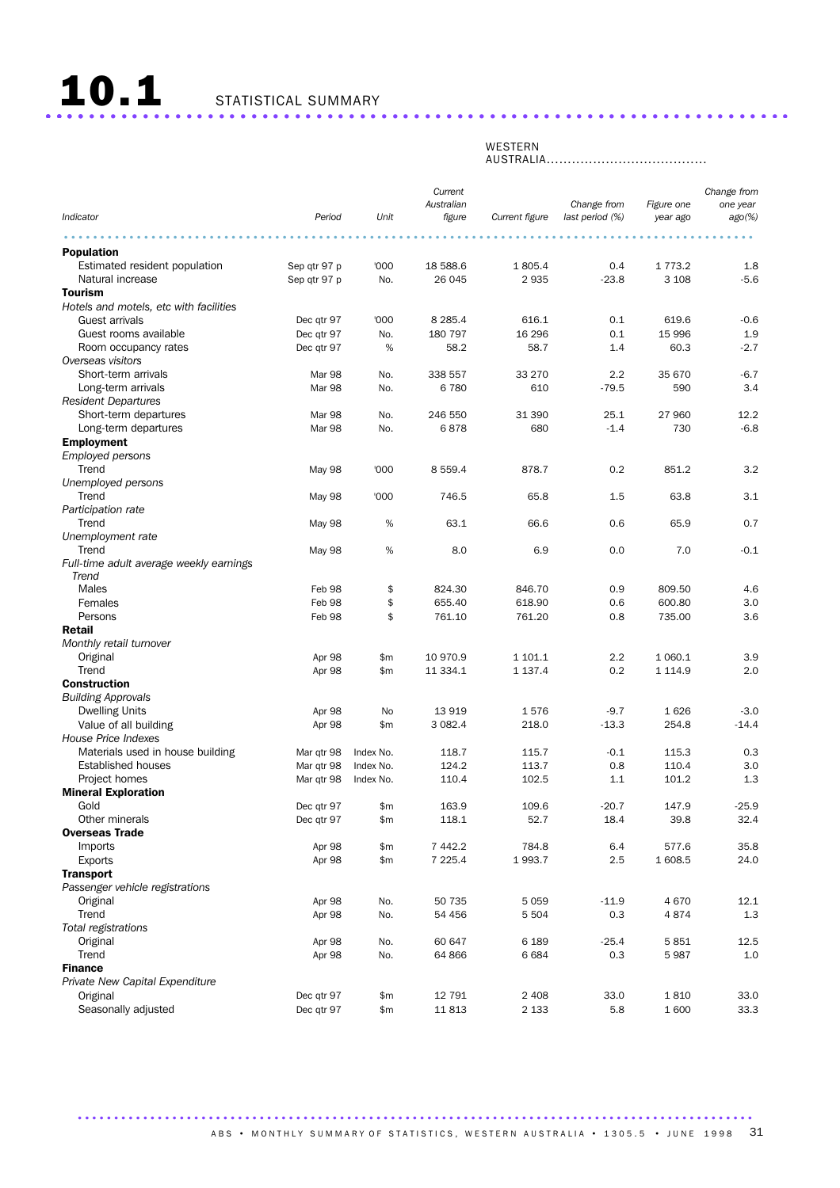|                                         |               |           | Current    |                |                 |            | Change from |
|-----------------------------------------|---------------|-----------|------------|----------------|-----------------|------------|-------------|
|                                         |               |           | Australian |                | Change from     | Figure one | one year    |
| Indicator                               | Period        | Unit      | figure     | Current figure | last period (%) | year ago   | ago(%)      |
|                                         |               |           |            |                |                 |            |             |
| <b>Population</b>                       |               |           |            |                |                 |            |             |
| Estimated resident population           | Sep qtr 97 p  | '000      | 18 588.6   | 1805.4         | 0.4             | 1773.2     | 1.8         |
| Natural increase                        | Sep qtr 97 p  | No.       | 26 045     | 2935           | $-23.8$         | 3 1 0 8    | $-5.6$      |
| <b>Tourism</b>                          |               |           |            |                |                 |            |             |
| Hotels and motels, etc with facilities  |               |           |            |                |                 |            |             |
| Guest arrivals                          | Dec qtr 97    | '000      | 8 2 8 5.4  | 616.1          | 0.1             | 619.6      | $-0.6$      |
| Guest rooms available                   | Dec gtr 97    | No.       | 180 797    | 16 29 6        | 0.1             | 15 996     | 1.9         |
| Room occupancy rates                    | Dec qtr 97    | $\%$      | 58.2       | 58.7           | 1.4             | 60.3       | $-2.7$      |
| Overseas visitors                       |               |           |            |                |                 |            |             |
| Short-term arrivals                     | Mar 98        | No.       | 338 557    | 33 270         | 2.2             | 35 670     | -6.7        |
| Long-term arrivals                      | Mar 98        | No.       | 6780       | 610            | $-79.5$         | 590        | 3.4         |
| <b>Resident Departures</b>              |               |           |            |                |                 |            |             |
| Short-term departures                   | Mar 98        | No.       | 246 550    | 31 390         | 25.1            | 27 960     | 12.2        |
| Long-term departures                    | Mar 98        | No.       | 6878       | 680            | $-1.4$          | 730        | $-6.8$      |
| <b>Employment</b>                       |               |           |            |                |                 |            |             |
| <b>Employed persons</b>                 |               |           |            |                |                 |            |             |
| Trend                                   | May 98        | '000      | 8 5 5 9.4  | 878.7          | 0.2             | 851.2      | 3.2         |
| Unemployed persons                      |               |           |            |                |                 |            |             |
| Trend                                   | May 98        | '000      | 746.5      | 65.8           | 1.5             | 63.8       | 3.1         |
| Participation rate                      |               |           |            |                |                 |            |             |
| Trend                                   | <b>May 98</b> | %         | 63.1       | 66.6           | 0.6             | 65.9       | 0.7         |
| Unemployment rate                       |               |           |            |                |                 |            |             |
| Trend                                   | <b>May 98</b> | $\%$      | 8.0        | 6.9            | 0.0             | 7.0        | $-0.1$      |
| Full-time adult average weekly earnings |               |           |            |                |                 |            |             |
| Trend                                   |               |           |            |                |                 |            |             |
| Males                                   | Feb 98        | \$        | 824.30     | 846.70         | 0.9             | 809.50     | 4.6         |
| Females                                 | Feb 98        | \$        | 655.40     | 618.90         | 0.6             | 600.80     | 3.0         |
| Persons                                 | Feb 98        | \$        | 761.10     | 761.20         | 0.8             | 735.00     | 3.6         |
| Retail                                  |               |           |            |                |                 |            |             |
| Monthly retail turnover                 | Apr 98        | \$m       | 10 970.9   | 1 101.1        | 2.2             | 1 0 6 0.1  | 3.9         |
| Original<br>Trend                       | Apr 98        | \$m       | 11 334.1   | 1 1 3 7 . 4    | 0.2             | 1 1 1 4.9  | 2.0         |
| <b>Construction</b>                     |               |           |            |                |                 |            |             |
| <b>Building Approvals</b>               |               |           |            |                |                 |            |             |
| <b>Dwelling Units</b>                   | Apr 98        | No        | 13 919     | 1576           | $-9.7$          | 1626       | $-3.0$      |
| Value of all building                   | Apr 98        | \$m       | 3 0 8 2.4  | 218.0          | $-13.3$         | 254.8      | $-14.4$     |
| House Price Indexes                     |               |           |            |                |                 |            |             |
| Materials used in house building        | Mar qtr 98    | Index No. | 118.7      | 115.7          | $-0.1$          | 115.3      | 0.3         |
| <b>Established houses</b>               | Mar qtr 98    | Index No. | 124.2      | 113.7          | 0.8             | 110.4      | 3.0         |
| Project homes                           | Mar qtr 98    | Index No. | 110.4      | 102.5          | 1.1             | 101.2      | 1.3         |
| <b>Mineral Exploration</b>              |               |           |            |                |                 |            |             |
| Gold                                    | Dec qtr 97    | \$m       | 163.9      | 109.6          | $-20.7$         | 147.9      | $-25.9$     |
| Other minerals                          | Dec gtr 97    | \$m\$     | 118.1      | 52.7           | 18.4            | 39.8       | 32.4        |
| <b>Overseas Trade</b>                   |               |           |            |                |                 |            |             |
| Imports                                 | Apr 98        | \$m       | 7 442.2    | 784.8          | 6.4             | 577.6      | 35.8        |
| <b>Exports</b>                          | Apr 98        | \$m       | 7 2 2 5.4  | 1993.7         | 2.5             | 1 608.5    | 24.0        |
| <b>Transport</b>                        |               |           |            |                |                 |            |             |
| Passenger vehicle registrations         |               |           |            |                |                 |            |             |
| Original                                | Apr 98        | No.       | 50 735     | 5 0 5 9        | $-11.9$         | 4 6 7 0    | 12.1        |
| Trend                                   | Apr 98        | No.       | 54 456     | 5 5 0 4        | 0.3             | 4874       | $1.3\,$     |
| Total registrations                     |               |           |            |                |                 |            |             |
| Original                                | Apr 98        | No.       | 60 647     | 6 1 8 9        | $-25.4$         | 5851       | 12.5        |
| Trend                                   | Apr 98        | No.       | 64 866     | 6684           | 0.3             | 5987       | 1.0         |
| <b>Finance</b>                          |               |           |            |                |                 |            |             |
| Private New Capital Expenditure         |               |           |            |                |                 |            |             |
| Original                                | Dec qtr 97    | \$m       | 12 791     | 2 4 0 8        | 33.0            | 1810       | 33.0        |
| Seasonally adjusted                     | Dec qtr 97    | \$m       | 11813      | 2 1 3 3        | 5.8             | 1 600      | 33.3        |

#### WESTERN

AUSTRALIA......................................